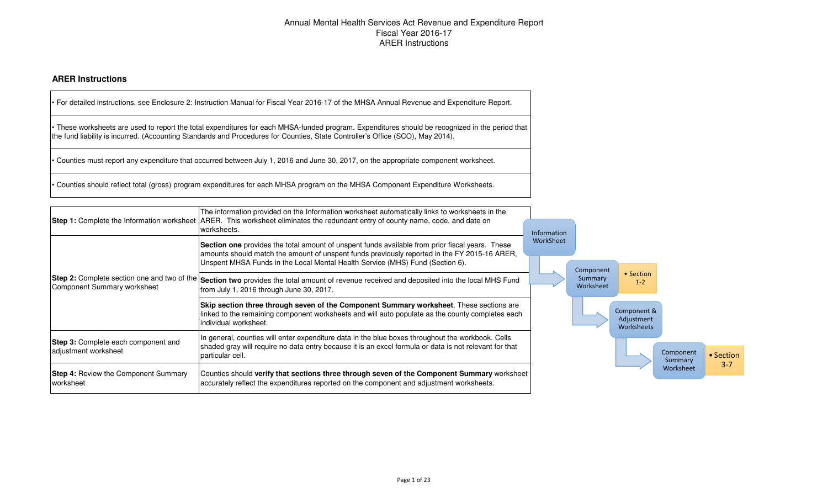# Annual Mental Health Services Act Revenue and Expenditure Report Fiscal Year 2016-17ARER Instructions

### **ARER Instructions**

|                                                                                   | • For detailed instructions, see Enclosure 2: Instruction Manual for Fiscal Year 2016-17 of the MHSA Annual Revenue and Expenditure Report.                                                                                                                                       |             |                      |                                         |                      |           |
|-----------------------------------------------------------------------------------|-----------------------------------------------------------------------------------------------------------------------------------------------------------------------------------------------------------------------------------------------------------------------------------|-------------|----------------------|-----------------------------------------|----------------------|-----------|
|                                                                                   | • These worksheets are used to report the total expenditures for each MHSA-funded program. Expenditures should be recognized in the period that<br>the fund liability is incurred. (Accounting Standards and Procedures for Counties, State Controller's Office (SCO), May 2014). |             |                      |                                         |                      |           |
|                                                                                   | • Counties must report any expenditure that occurred between July 1, 2016 and June 30, 2017, on the appropriate component worksheet.                                                                                                                                              |             |                      |                                         |                      |           |
|                                                                                   | • Counties should reflect total (gross) program expenditures for each MHSA program on the MHSA Component Expenditure Worksheets.                                                                                                                                                  |             |                      |                                         |                      |           |
|                                                                                   | The information provided on the Information worksheet automatically links to worksheets in the<br>Step 1: Complete the Information worksheet ARER. This worksheet eliminates the redundant entry of county name, code, and date on<br>worksheets.                                 | Information |                      |                                         |                      |           |
|                                                                                   | Section one provides the total amount of unspent funds available from prior fiscal years. These<br>amounts should match the amount of unspent funds previously reported in the FY 2015-16 ARER,<br>Unspent MHSA Funds in the Local Mental Health Service (MHS) Fund (Section 6).  | WorkSheet   | Component            |                                         |                      |           |
| <b>Step 2:</b> Complete section one and two of the<br>Component Summary worksheet | Section two provides the total amount of revenue received and deposited into the local MHS Fund<br>from July 1, 2016 through June 30, 2017.                                                                                                                                       |             | Summary<br>Worksheet | • Section<br>$1 - 2$                    |                      |           |
|                                                                                   | Skip section three through seven of the Component Summary worksheet. These sections are<br>linked to the remaining component worksheets and will auto populate as the county completes each<br>individual worksheet.                                                              |             |                      | Component &<br>Adjustment<br>Worksheets |                      |           |
| Step 3: Complete each component and<br>adjustment worksheet                       | In general, counties will enter expenditure data in the blue boxes throughout the workbook. Cells<br>shaded gray will require no data entry because it is an excel formula or data is not relevant for that<br>particular cell.                                                   |             |                      |                                         | Component<br>Summary | • Section |
| <b>Step 4: Review the Component Summary</b><br>worksheet                          | Counties should verify that sections three through seven of the Component Summary worksheet<br>accurately reflect the expenditures reported on the component and adjustment worksheets.                                                                                           |             |                      |                                         | Worksheet            | $3 - 7$   |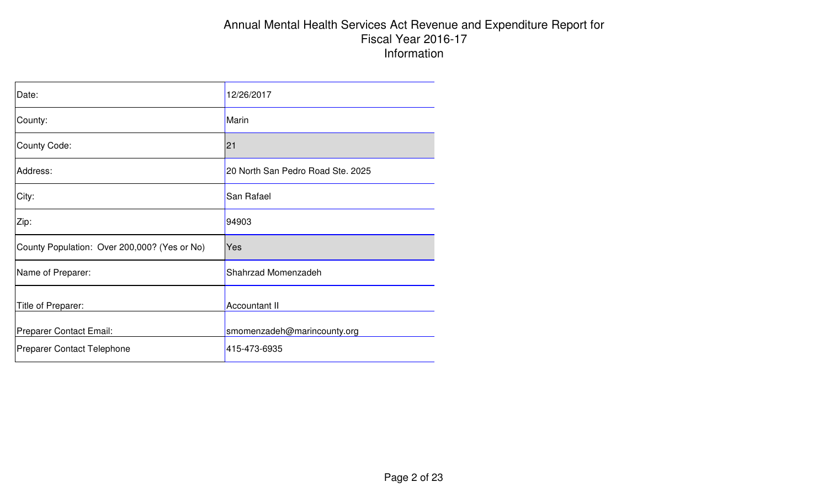# Annual Mental Health Services Act Revenue and Expenditure Report for Fiscal Year 2016-17 Information

| Date:                                        | 12/26/2017                        |
|----------------------------------------------|-----------------------------------|
| County:                                      | Marin                             |
| <b>County Code:</b>                          | 21                                |
| Address:                                     | 20 North San Pedro Road Ste. 2025 |
| City:                                        | San Rafael                        |
| Zip:                                         | 94903                             |
| County Population: Over 200,000? (Yes or No) | Yes                               |
| Name of Preparer:                            | Shahrzad Momenzadeh               |
| Title of Preparer:                           | Accountant II                     |
| Preparer Contact Email:                      | smomenzadeh@marincounty.org       |
| <b>Preparer Contact Telephone</b>            | 415-473-6935                      |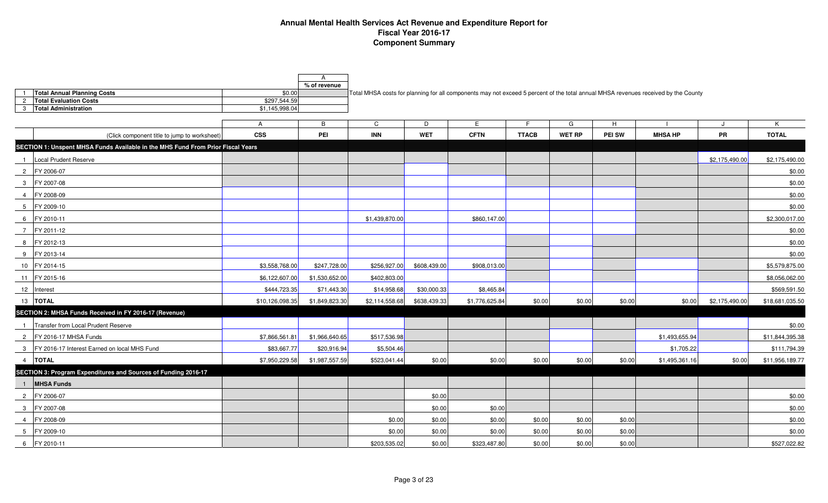### **Annual Mental Health Services Act Revenue and Expenditure Report for Fiscal Year 2016-17 Component Summary**

|                                                                                 |                 | A<br>% of revenue |                |              |                |              |               |        |                                                                                                                                    |                |                 |
|---------------------------------------------------------------------------------|-----------------|-------------------|----------------|--------------|----------------|--------------|---------------|--------|------------------------------------------------------------------------------------------------------------------------------------|----------------|-----------------|
| <b>Total Annual Planning Costs</b>                                              | \$0.00          |                   |                |              |                |              |               |        | Total MHSA costs for planning for all components may not exceed 5 percent of the total annual MHSA revenues received by the County |                |                 |
| <b>Total Evaluation Costs</b><br>$\overline{2}$                                 | \$297.544.59    |                   |                |              |                |              |               |        |                                                                                                                                    |                |                 |
| <b>Total Administration</b><br>$\mathbf{3}$                                     | \$1,145,998.04  |                   |                |              |                |              |               |        |                                                                                                                                    |                |                 |
|                                                                                 | $\mathsf{A}$    | B                 | C              | D            | Е              | F.           | G             | H      |                                                                                                                                    |                | K               |
| (Click component title to jump to worksheet)                                    | <b>CSS</b>      | PEI               | <b>INN</b>     | <b>WET</b>   | <b>CFTN</b>    | <b>TTACB</b> | <b>WET RP</b> | PEI SW | <b>MHSA HP</b>                                                                                                                     | PR             | <b>TOTAL</b>    |
| SECTION 1: Unspent MHSA Funds Available in the MHS Fund From Prior Fiscal Years |                 |                   |                |              |                |              |               |        |                                                                                                                                    |                |                 |
| Local Prudent Reserve<br>$\overline{1}$                                         |                 |                   |                |              |                |              |               |        |                                                                                                                                    | \$2,175,490.00 | \$2,175,490.00  |
| 2 FY 2006-07                                                                    |                 |                   |                |              |                |              |               |        |                                                                                                                                    |                | \$0.00          |
| 3 FY 2007-08                                                                    |                 |                   |                |              |                |              |               |        |                                                                                                                                    |                | \$0.00          |
| FY 2008-09<br>$\overline{4}$                                                    |                 |                   |                |              |                |              |               |        |                                                                                                                                    |                | \$0.00          |
| 5 FY 2009-10                                                                    |                 |                   |                |              |                |              |               |        |                                                                                                                                    |                | \$0.00          |
| 6 FY 2010-11                                                                    |                 |                   | \$1,439,870.00 |              | \$860,147.00   |              |               |        |                                                                                                                                    |                | \$2,300,017.00  |
| 7 FY 2011-12                                                                    |                 |                   |                |              |                |              |               |        |                                                                                                                                    |                | \$0.00          |
| 8 FY 2012-13                                                                    |                 |                   |                |              |                |              |               |        |                                                                                                                                    |                | \$0.00          |
| FY 2013-14<br>9                                                                 |                 |                   |                |              |                |              |               |        |                                                                                                                                    |                | \$0.00          |
| 10 FY 2014-15                                                                   | \$3,558,768.00  | \$247,728.00      | \$256,927.00   | \$608,439.00 | \$908,013.00   |              |               |        |                                                                                                                                    |                | \$5,579,875.00  |
| 11 FY 2015-16                                                                   | \$6,122,607.00  | \$1,530,652.00    | \$402,803.00   |              |                |              |               |        |                                                                                                                                    |                | \$8,056,062.00  |
| 12 Interest                                                                     | \$444,723.35    | \$71,443.30       | \$14,958.68    | \$30,000.33  | \$8,465.84     |              |               |        |                                                                                                                                    |                | \$569,591.50    |
| 13  TOTAL                                                                       | \$10,126,098.35 | \$1,849,823.30    | \$2,114,558.68 | \$638,439.33 | \$1,776,625.84 | \$0.00       | \$0.00        | \$0.00 | \$0.00                                                                                                                             | \$2,175,490.00 | \$18,681,035.50 |
| SECTION 2: MHSA Funds Received in FY 2016-17 (Revenue)                          |                 |                   |                |              |                |              |               |        |                                                                                                                                    |                |                 |
| Transfer from Local Prudent Reserve<br>$\overline{1}$                           |                 |                   |                |              |                |              |               |        |                                                                                                                                    |                | \$0.00          |
| IFY 2016-17 MHSA Funds<br>$\overline{2}$                                        | \$7,866,561.81  | \$1,966,640.65    | \$517,536.98   |              |                |              |               |        | \$1,493,655.94                                                                                                                     |                | \$11,844,395.38 |
| 3 FY 2016-17 Interest Earned on local MHS Fund                                  | \$83,667.77     | \$20,916.94       | \$5,504.46     |              |                |              |               |        | \$1,705.22                                                                                                                         |                | \$111,794.39    |
| 4 TOTAL                                                                         | \$7,950,229.58  | \$1,987,557.59    | \$523,041.44   | \$0.00       | \$0.00         | \$0.00       | \$0.00        | \$0.00 | \$1,495,361.16                                                                                                                     | \$0.00         | \$11,956,189.77 |
| SECTION 3: Program Expenditures and Sources of Funding 2016-17                  |                 |                   |                |              |                |              |               |        |                                                                                                                                    |                |                 |
| 1 MHSA Funds                                                                    |                 |                   |                |              |                |              |               |        |                                                                                                                                    |                |                 |
| 2 FY 2006-07                                                                    |                 |                   |                | \$0.00       |                |              |               |        |                                                                                                                                    |                | \$0.00          |
| 3 FY 2007-08                                                                    |                 |                   |                | \$0.00       | \$0.00         |              |               |        |                                                                                                                                    |                | \$0.00          |
| 4 FY 2008-09                                                                    |                 |                   | \$0.00         | \$0.00       | \$0.00         | \$0.00       | \$0.00        | \$0.00 |                                                                                                                                    |                | \$0.00          |
| 5 FY 2009-10                                                                    |                 |                   | \$0.00         | \$0.00       | \$0.00         | \$0.00       | \$0.00        | \$0.00 |                                                                                                                                    |                | \$0.00          |
| 6 FY 2010-11                                                                    |                 |                   | \$203,535.02   | \$0.00       | \$323,487.80   | \$0.00       | \$0.00        | \$0.00 |                                                                                                                                    |                | \$527,022.82    |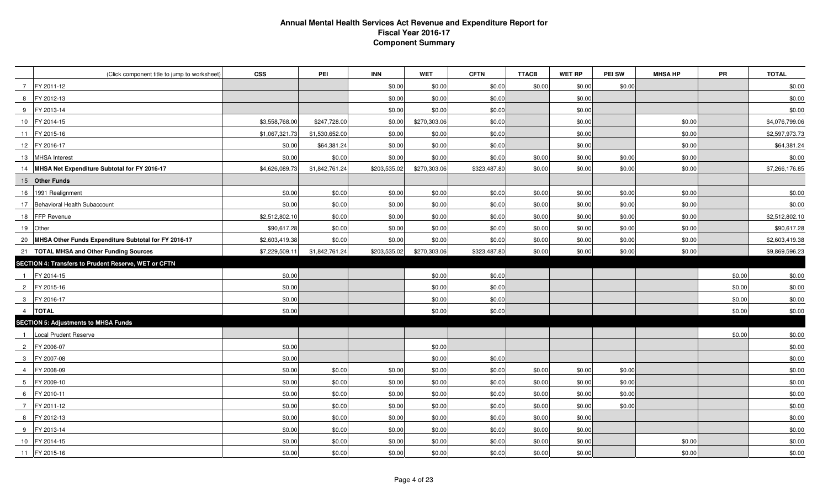### **Annual Mental Health Services Act Revenue and Expenditure Report for Fiscal Year 2016-17 Component Summary**

|                | (Click component title to jump to worksheet)            | <b>CSS</b>     | PEI            | <b>INN</b>   | <b>WET</b>   | <b>CFTN</b>  | <b>TTACB</b> | <b>WET RP</b> | <b>PEI SW</b> | <b>MHSA HP</b> | <b>PR</b> | <b>TOTAL</b>   |
|----------------|---------------------------------------------------------|----------------|----------------|--------------|--------------|--------------|--------------|---------------|---------------|----------------|-----------|----------------|
|                | 7 FY 2011-12                                            |                |                | \$0.00       | \$0.00       | \$0.00       | \$0.00       | \$0.00        | \$0.00        |                |           | \$0.00         |
|                | 8 FY 2012-13                                            |                |                | \$0.00       | \$0.00       | \$0.00       |              | \$0.00        |               |                |           | \$0.00         |
|                | 9 FY 2013-14                                            |                |                | \$0.00       | \$0.00       | \$0.00       |              | \$0.00        |               |                |           | \$0.00         |
|                | 10 FY 2014-15                                           | \$3,558,768.00 | \$247,728.00   | \$0.00       | \$270,303.06 | \$0.00       |              | \$0.00        |               | \$0.00         |           | \$4,076,799.06 |
|                | 11 FY 2015-16                                           | \$1,067,321.73 | \$1,530,652.00 | \$0.00       | \$0.00       | \$0.00       |              | \$0.00        |               | \$0.00         |           | \$2,597,973.73 |
|                | 12 FY 2016-17                                           | \$0.00         | \$64,381.24    | \$0.00       | \$0.00       | \$0.00       |              | \$0.00        |               | \$0.00         |           | \$64,381.24    |
|                | 13 MHSA Interest                                        | \$0.00         | \$0.00         | \$0.00       | \$0.00       | \$0.00       | \$0.00       | \$0.00        | \$0.00        | \$0.00         |           | \$0.00         |
|                | 14 MHSA Net Expenditure Subtotal for FY 2016-17         | \$4,626,089.73 | \$1,842,761.24 | \$203,535.02 | \$270,303.06 | \$323,487.80 | \$0.00       | \$0.00        | \$0.00        | \$0.00         |           | \$7,266,176.85 |
|                | 15 Other Funds                                          |                |                |              |              |              |              |               |               |                |           |                |
|                | 16 1991 Realignment                                     | \$0.00         | \$0.00         | \$0.00       | \$0.00       | \$0.00       | \$0.00       | \$0.00        | \$0.00        | \$0.00         |           | \$0.00         |
|                | 17 Behavioral Health Subaccount                         | \$0.00         | \$0.00         | \$0.00       | \$0.00       | \$0.00       | \$0.00       | \$0.00        | \$0.00        | \$0.00         |           | \$0.00         |
|                | 18 FFP Revenue                                          | \$2,512,802.10 | \$0.00         | \$0.00       | \$0.00       | \$0.00       | \$0.00       | \$0.00        | \$0.00        | \$0.00         |           | \$2,512,802.10 |
|                | 19 Other                                                | \$90,617.28    | \$0.00         | \$0.00       | \$0.00       | \$0.00       | \$0.00       | \$0.00        | \$0.00        | \$0.00         |           | \$90,617.28    |
|                | 20 MHSA Other Funds Expenditure Subtotal for FY 2016-17 | \$2,603,419.38 | \$0.00         | \$0.00       | \$0.00       | \$0.00       | \$0.00       | \$0.00        | \$0.00        | \$0.00         |           | \$2,603,419.38 |
|                | 21 TOTAL MHSA and Other Funding Sources                 | \$7,229,509.11 | \$1,842,761.24 | \$203,535.02 | \$270,303.06 | \$323,487.80 | \$0.00       | \$0.00        | \$0.00        | \$0.00         |           | \$9,869,596.23 |
|                | SECTION 4: Transfers to Prudent Reserve, WET or CFTN    |                |                |              |              |              |              |               |               |                |           |                |
|                | 1 FY 2014-15                                            | \$0.00         |                |              | \$0.00       | \$0.00       |              |               |               |                | \$0.00    | \$0.00         |
|                | 2 FY 2015-16                                            | \$0.00         |                |              | \$0.00       | \$0.00       |              |               |               |                | \$0.00    | \$0.00         |
|                | 3 FY 2016-17                                            | \$0.00         |                |              | \$0.00       | \$0.00       |              |               |               |                | \$0.00    | \$0.00         |
|                | 4   TOTAL                                               | \$0.00         |                |              | \$0.00       | \$0.00       |              |               |               |                | \$0.00    | \$0.00         |
|                | <b>SECTION 5: Adjustments to MHSA Funds</b>             |                |                |              |              |              |              |               |               |                |           |                |
| $\overline{1}$ | Local Prudent Reserve                                   |                |                |              |              |              |              |               |               |                | \$0.00    | \$0.00         |
|                | 2 FY 2006-07                                            | \$0.00         |                |              | \$0.00       |              |              |               |               |                |           | \$0.00         |
| 3              | FY 2007-08                                              | \$0.00         |                |              | \$0.00       | \$0.00       |              |               |               |                |           | \$0.00         |
|                | 4 FY 2008-09                                            | \$0.00         | \$0.00         | \$0.00       | \$0.00       | \$0.00       | \$0.00       | \$0.00        | \$0.00        |                |           | \$0.00         |
|                | 5 FY 2009-10                                            | \$0.00         | \$0.00         | \$0.00       | \$0.00       | \$0.00       | \$0.00       | \$0.00        | \$0.00        |                |           | \$0.00         |
|                | 6 FY 2010-11                                            | \$0.00         | \$0.00         | \$0.00       | \$0.00       | \$0.00       | \$0.00       | \$0.00        | \$0.00        |                |           | \$0.00         |
| $\overline{7}$ | FY 2011-12                                              | \$0.00         | \$0.00         | \$0.00       | \$0.00       | \$0.00       | \$0.00       | \$0.00        | \$0.00        |                |           | \$0.00         |
|                | 8 FY 2012-13                                            | \$0.00         | \$0.00         | \$0.00       | \$0.00       | \$0.00       | \$0.00       | \$0.00        |               |                |           | \$0.00         |
| 9              | FY 2013-14                                              | \$0.00         | \$0.00         | \$0.00       | \$0.00       | \$0.00       | \$0.00       | \$0.00        |               |                |           | \$0.00         |
|                | 10 FY 2014-15                                           | \$0.00         | \$0.00         | \$0.00       | \$0.00       | \$0.00       | \$0.00       | \$0.00        |               | \$0.00         |           | \$0.00         |
|                | 11 FY 2015-16                                           | \$0.00         | \$0.00         | \$0.00       | \$0.00       | \$0.00       | \$0.00       | \$0.00        |               | \$0.00         |           | \$0.00         |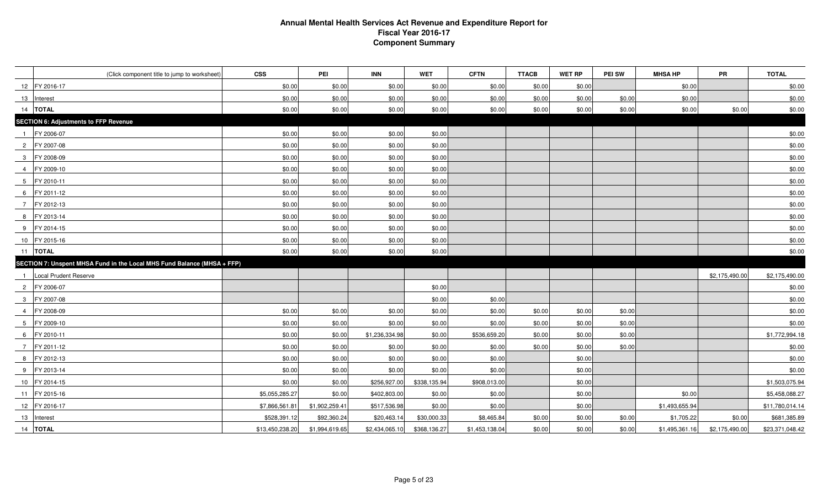### **Annual Mental Health Services Act Revenue and Expenditure Report for Fiscal Year 2016-17 Component Summary**

| (Click component title to jump to worksheet)                            | <b>CSS</b>      | PEI            | <b>INN</b>     | <b>WET</b>   | <b>CFTN</b>    | <b>TTACB</b> | <b>WET RP</b> | <b>PEI SW</b> | <b>MHSA HP</b> | <b>PR</b>      | <b>TOTAL</b>    |
|-------------------------------------------------------------------------|-----------------|----------------|----------------|--------------|----------------|--------------|---------------|---------------|----------------|----------------|-----------------|
| 12 FY 2016-17                                                           | \$0.00          | \$0.00         | \$0.00         | \$0.00       | \$0.00         | \$0.00       | \$0.00        |               | \$0.00         |                | \$0.00          |
| 13 Interest                                                             | \$0.00          | \$0.00         | \$0.00         | \$0.00       | \$0.00         | \$0.00       | \$0.00        | \$0.00        | \$0.00         |                | \$0.00          |
| 14   TOTAL                                                              | \$0.00          | \$0.00         | \$0.00         | \$0.00       | \$0.00         | \$0.00       | \$0.00        | \$0.00        | \$0.00         | \$0.00         | \$0.00          |
| <b>SECTION 6: Adjustments to FFP Revenue</b>                            |                 |                |                |              |                |              |               |               |                |                |                 |
| FY 2006-07<br>$\overline{1}$                                            | \$0.00          | \$0.00         | \$0.00         | \$0.00       |                |              |               |               |                |                | \$0.00          |
| 2 FY 2007-08                                                            | \$0.00          | \$0.00         | \$0.00         | \$0.00       |                |              |               |               |                |                | \$0.00          |
| 3 FY 2008-09                                                            | \$0.00          | \$0.00         | \$0.00         | \$0.00       |                |              |               |               |                |                | \$0.00          |
| 4 FY 2009-10                                                            | \$0.00          | \$0.00         | \$0.00         | \$0.00       |                |              |               |               |                |                | \$0.00          |
| 5 FY 2010-11                                                            | \$0.00          | \$0.00         | \$0.00         | \$0.00       |                |              |               |               |                |                | \$0.00          |
| 6 FY 2011-12                                                            | \$0.00          | \$0.00         | \$0.00         | \$0.00       |                |              |               |               |                |                | \$0.00          |
| 7 FY 2012-13                                                            | \$0.00          | \$0.00         | \$0.00         | \$0.00       |                |              |               |               |                |                | \$0.00          |
| 8 FY 2013-14                                                            | \$0.00          | \$0.00         | \$0.00         | \$0.00       |                |              |               |               |                |                | \$0.00          |
| 9 FY 2014-15                                                            | \$0.00          | \$0.00         | \$0.00         | \$0.00       |                |              |               |               |                |                | \$0.00          |
| 10 FY 2015-16                                                           | \$0.00          | \$0.00         | \$0.00         | \$0.00       |                |              |               |               |                |                | \$0.00          |
| 11  TOTAL                                                               | \$0.00          | \$0.00         | \$0.00         | \$0.00       |                |              |               |               |                |                | \$0.00          |
| SECTION 7: Unspent MHSA Fund in the Local MHS Fund Balance (MHSA + FFP) |                 |                |                |              |                |              |               |               |                |                |                 |
| 1 Local Prudent Reserve                                                 |                 |                |                |              |                |              |               |               |                | \$2,175,490.00 | \$2,175,490.00  |
| 2 FY 2006-07                                                            |                 |                |                | \$0.00       |                |              |               |               |                |                | \$0.00          |
| 3 FY 2007-08                                                            |                 |                |                | \$0.00       | \$0.00         |              |               |               |                |                | \$0.00          |
| FY 2008-09<br>4                                                         | \$0.00          | \$0.00         | \$0.00         | \$0.00       | \$0.00         | \$0.00       | \$0.00        | \$0.00        |                |                | \$0.00          |
| $5\overline{)}$<br>FY 2009-10                                           | \$0.00          | \$0.00         | \$0.00         | \$0.00       | \$0.00         | \$0.00       | \$0.00        | \$0.00        |                |                | \$0.00          |
| 6 FY 2010-11                                                            | \$0.00          | \$0.00         | \$1,236,334.98 | \$0.00       | \$536,659.20   | \$0.00       | \$0.00        | \$0.00        |                |                | \$1,772,994.18  |
| 7 FY 2011-12                                                            | \$0.00          | \$0.00         | \$0.00         | \$0.00       | \$0.00         | \$0.00       | \$0.00        | \$0.00        |                |                | \$0.00          |
| FY 2012-13<br>8                                                         | \$0.00          | \$0.00         | \$0.00         | \$0.00       | \$0.00         |              | \$0.00        |               |                |                | \$0.00          |
| 9 FY 2013-14                                                            | \$0.00          | \$0.00         | \$0.00         | \$0.00       | \$0.00         |              | \$0.00        |               |                |                | \$0.00          |
| 10 FY 2014-15                                                           | \$0.00          | \$0.00         | \$256,927.00   | \$338,135.94 | \$908,013.00   |              | \$0.00        |               |                |                | \$1,503,075.94  |
| 11 FY 2015-16                                                           | \$5,055,285.27  | \$0.00         | \$402,803.00   | \$0.00       | \$0.00         |              | \$0.00        |               | \$0.00         |                | \$5,458,088.27  |
| 12 FY 2016-17                                                           | \$7,866,561.81  | \$1,902,259.41 | \$517,536.98   | \$0.00       | \$0.00         |              | \$0.00        |               | \$1,493,655.94 |                | \$11,780,014.14 |
| 13 Interest                                                             | \$528,391.12    | \$92,360.24    | \$20,463.14    | \$30,000.33  | \$8,465.84     | \$0.00       | \$0.00        | \$0.00        | \$1,705.22     | \$0.00         | \$681,385.89    |
| 14 <b>TOTAL</b>                                                         | \$13,450,238.20 | \$1,994,619.65 | \$2,434,065.10 | \$368,136.27 | \$1,453,138.04 | \$0.00       | \$0.00        | \$0.00        | \$1,495,361.16 | \$2,175,490.00 | \$23,371,048.42 |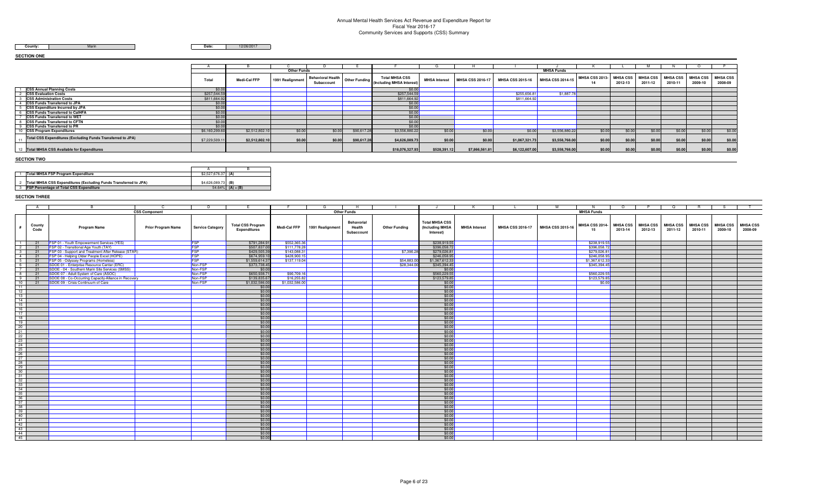### Annual Mental Health Services Act Revenue and Expenditure Report for Fiscal Year 2016-17 Community Services and Supports (CSS) Summary

County: **Marin** 

**Date:** 12/26/2017

#### **SECTION ONE**

|                                                             |                |                | <b>Other Funds</b> |                                        |             |                                                                     |                      |                         |                         | <b>MHSA Funds</b>       |                     |                            |                            |                            |                            |                            |
|-------------------------------------------------------------|----------------|----------------|--------------------|----------------------------------------|-------------|---------------------------------------------------------------------|----------------------|-------------------------|-------------------------|-------------------------|---------------------|----------------------------|----------------------------|----------------------------|----------------------------|----------------------------|
|                                                             | Total          | Medi-Cal FFP   | 1991 Realignment   | <b>Behavioral Health</b><br>Subaccount |             | <b>Total MHSA CSS</b><br>other Funding    (Including MHSA Interest) | <b>MHSA</b> Interest | <b>MHSA CSS 2016-17</b> | <b>MHSA CSS 2015-16</b> | <b>MHSA CSS 2014-15</b> | MHSA CSS 2013<br>14 | <b>MHSA CSS</b><br>2012-13 | <b>MHSA CSS</b><br>2011-12 | <b>MHSA CSS</b><br>2010-11 | <b>MHSA CSS</b><br>2009-10 | <b>MHSA CSS</b><br>2008-09 |
| <b>CSS Annual Planning Costs</b>                            | \$0.00         |                |                    |                                        |             | \$0.00                                                              |                      |                         |                         |                         |                     |                            |                            |                            |                            |                            |
| <b>CSS Evaluation Costs</b>                                 | \$257,544.59   |                |                    |                                        |             | \$257,544.59                                                        |                      |                         | \$255,656.81            | \$1,887.78              |                     |                            |                            |                            |                            |                            |
| <b>CSS Administration Costs</b>                             | \$811,664.92   |                |                    |                                        |             | \$811,664.92                                                        |                      |                         | \$811,664.92            |                         |                     |                            |                            |                            |                            |                            |
| <b>CSS Funds Transferred to JPA</b>                         | \$0.00         |                |                    |                                        |             | \$0.00                                                              |                      |                         |                         |                         |                     |                            |                            |                            |                            |                            |
| <b>CSS Expenditure Incurred by JPA</b>                      | \$0.00         |                |                    |                                        |             | \$0.00                                                              |                      |                         |                         |                         |                     |                            |                            |                            |                            |                            |
| <b>ICSS Funds Transferred to CalHFA</b>                     | \$0.00         |                |                    |                                        |             | \$0.00                                                              |                      |                         |                         |                         |                     |                            |                            |                            |                            |                            |
| <b>CSS Funds Transferred to WET</b>                         | \$0.00         |                |                    |                                        |             | \$0.00                                                              |                      |                         |                         |                         |                     |                            |                            |                            |                            |                            |
| <b>CSS Funds Transferred to CFTN</b>                        | \$0.00         |                |                    |                                        |             | \$0.00                                                              |                      |                         |                         |                         |                     |                            |                            |                            |                            |                            |
| <b>CSS Funds Transferred to PR</b>                          | \$0.00         |                |                    |                                        |             | \$0.00                                                              |                      |                         |                         |                         |                     |                            |                            |                            |                            |                            |
| <b>CSS Program Expenditures</b>                             | \$6,160,299.60 | \$2,512,802.10 | \$0.00             | \$0.00                                 | \$90,617.28 | \$3,556,880.22                                                      | \$0.00               | \$0.00                  | \$0.00                  | \$3,556,880.22          | \$0.00              | \$0.00                     | \$0.00                     | \$0.00                     | \$0.00                     | \$0.00                     |
| Total CSS Expenditures (Excluding Funds Transferred to JPA) | \$7,229,509.11 | \$2,512,802.10 | \$0.00             | \$0.00                                 | \$90,617.28 | \$4,626,089.73                                                      | \$0.00               | \$0.00                  | \$1,067,321.73          | \$3,558,768.00          | \$0.00              | \$0.00                     | \$0.00                     | \$0.00                     | \$0.00                     | \$0.00                     |
| 12 Total MHSA CSS Available for Expenditures                |                |                |                    |                                        |             | \$18,076,327.93                                                     | \$528,391.12         | \$7,866,561.81          | \$6,122,607.00          | \$3,558,768.00          | \$0.00              | \$0.00                     | \$0.00                     | \$0.00                     | \$0.00                     | \$0.00                     |

#### **SECTION TWO**

| <b>Total MHSA FSP Program Expenditure</b>                        | \$2,527,676,37 (A) |                  |
|------------------------------------------------------------------|--------------------|------------------|
|                                                                  |                    |                  |
| Total MHSA CSS Expenditures (Excluding Funds Transferred to JPA) | \$4,626,089,73 (B) |                  |
| <b>FSP Percentage of Total CSS Expenditure</b>                   |                    | 54.64% (A) ÷ (B) |
|                                                                  |                    |                  |

#### **SECTION THREE**

|                 | A              | C.                                                   | D.                      |                                                 |                     | -6               | H                                  |                      | J                                                     | K                    |                         | M                       | <b>N</b>             | $\circ$                    |                            | $\circ$                    | R.                         | S.                         |                            |
|-----------------|----------------|------------------------------------------------------|-------------------------|-------------------------------------------------|---------------------|------------------|------------------------------------|----------------------|-------------------------------------------------------|----------------------|-------------------------|-------------------------|----------------------|----------------------------|----------------------------|----------------------------|----------------------------|----------------------------|----------------------------|
|                 |                | <b>CSS Component</b>                                 |                         |                                                 |                     |                  | <b>Other Funds</b>                 |                      |                                                       |                      |                         |                         | <b>MHSA Funds</b>    |                            |                            |                            |                            |                            |                            |
|                 | County<br>Code | <b>Program Name</b><br><b>Prior Program Name</b>     | <b>Service Category</b> | <b>Total CSS Program</b><br><b>Expenditures</b> | <b>Medi-Cal FFP</b> | 1991 Realignment | Behavorial<br>Health<br>Subaccount | <b>Other Funding</b> | <b>Total MHSA CSS</b><br>(Including MHSA<br>Interest) | <b>MHSA</b> Interest | <b>MHSA CSS 2016-17</b> | <b>MHSA CSS 2015-16</b> | MHSA CSS 2014-<br>15 | <b>MHSA CSS</b><br>2013-14 | <b>MHSA CSS</b><br>2012-13 | <b>MHSA CSS</b><br>2011-12 | <b>MHSA CSS</b><br>2010-11 | <b>MHSA CSS</b><br>2009-10 | <b>MHSA CSS</b><br>2008-09 |
| $\blacksquare$  | 21             | FSP 01 - Youth Empowerment Services (YES)            |                         | \$791,284.9                                     | \$552,365.36        |                  |                                    |                      | \$238,919.55                                          |                      |                         |                         | \$238,919.55         |                            |                            |                            |                            |                            |                            |
| 2 <sup>1</sup>  | 21             | FSP 02 - Transitional Age Youth (TAY)                | FSP<br>FSP              | \$507,837.00                                    | \$111,778.28        |                  |                                    |                      | \$396,058.72                                          |                      |                         |                         | \$396,058.72         |                            |                            |                            |                            |                            |                            |
| 3 <sup>1</sup>  | $-21$          | FSP 03 - Support and Treatment After Release (STAR)  | <b>FSP</b>              | \$429,505.39                                    | \$143,088.31        |                  |                                    | \$7,390.28           | \$279,026.81                                          |                      |                         |                         | \$279,026.81         |                            |                            |                            |                            |                            |                            |
| 4               | 21             | FSP 04 - Helping Older People Excel (HOPE)           |                         | \$674,959.1                                     | \$428,900.15        |                  |                                    |                      | \$246,058.95                                          |                      |                         |                         | \$246,058.95         |                            |                            |                            |                            |                            |                            |
| 5               | 21             | FSP 05 - Odyssey Programs (Homeless)                 | FSP<br>FSP              | \$1,559,614.3                                   | \$137,119.04        |                  |                                    | \$54,883,00          | \$1,367,612,33                                        |                      |                         |                         | \$1,367,612.33       |                            |                            |                            |                            |                            |                            |
|                 | 6 21           | SDOE 01 - Enterprise Resource Center (ERC)           | Non-FSP                 | \$373,738.45                                    |                     |                  |                                    | \$28,344.00          | \$345,394.45                                          |                      |                         |                         | \$345,394.45         |                            |                            |                            |                            |                            |                            |
| 7 <sup>1</sup>  | 21             | SDOE - 04 - Southern Marin Site Services (SMSS)      | Non-FSP                 | \$0.00                                          |                     |                  |                                    |                      | \$0.00                                                |                      |                         |                         |                      |                            |                            |                            |                            |                            |                            |
| 8 <sup>1</sup>  | 21             | SDOE 07 - Adult System of Care (ASOC)                | Non-FSP                 | \$650,938.7                                     | \$90,709.16         |                  |                                    |                      | \$560,229.55                                          |                      |                         |                         | \$560,229.55         |                            |                            |                            |                            |                            |                            |
| 9               | 21             | SDOE 08 - Co-Occurring Capacity-Alliance in Recovery | Non-FSP                 | \$139,835.6                                     | \$16,255.82         |                  |                                    |                      | \$123,579.85                                          |                      |                         |                         | \$123,579.85         |                            |                            |                            |                            |                            |                            |
| 10              | 21             | SDOE 09 - Crisis Continuum of Care                   | Non-FSP                 | \$1,032,586.00                                  | \$1,032,586.00      |                  |                                    |                      | \$0.00                                                |                      |                         |                         | \$0.00               |                            |                            |                            |                            |                            |                            |
| $\overline{11}$ |                |                                                      |                         | \$0.00                                          |                     |                  |                                    |                      | \$0.00                                                |                      |                         |                         |                      |                            |                            |                            |                            |                            |                            |
| 12              |                |                                                      |                         | \$0.00                                          |                     |                  |                                    |                      | \$0.00                                                |                      |                         |                         |                      |                            |                            |                            |                            |                            |                            |
| 13              |                |                                                      |                         | \$0.00                                          |                     |                  |                                    |                      | \$0.00                                                |                      |                         |                         |                      |                            |                            |                            |                            |                            |                            |
| 14              |                |                                                      |                         | \$0.00                                          |                     |                  |                                    |                      | \$0.00                                                |                      |                         |                         |                      |                            |                            |                            |                            |                            |                            |
| 15              |                |                                                      |                         | \$0.00                                          |                     |                  |                                    |                      | \$0.00                                                |                      |                         |                         |                      |                            |                            |                            |                            |                            |                            |
| 16              |                |                                                      |                         | \$0.00                                          |                     |                  |                                    |                      | \$0.00                                                |                      |                         |                         |                      |                            |                            |                            |                            |                            |                            |
| 17              |                |                                                      |                         | \$0.00                                          |                     |                  |                                    |                      | \$0.00                                                |                      |                         |                         |                      |                            |                            |                            |                            |                            |                            |
| 18              |                |                                                      |                         | \$0.00                                          |                     |                  |                                    |                      | \$0.00                                                |                      |                         |                         |                      |                            |                            |                            |                            |                            |                            |
| 19              |                |                                                      |                         | \$0.00                                          |                     |                  |                                    |                      | \$0.00                                                |                      |                         |                         |                      |                            |                            |                            |                            |                            |                            |
| 20              |                |                                                      |                         | \$0.00                                          |                     |                  |                                    |                      | \$0.00                                                |                      |                         |                         |                      |                            |                            |                            |                            |                            |                            |
| 21              |                |                                                      |                         | \$0.00                                          |                     |                  |                                    |                      | \$0.00                                                |                      |                         |                         |                      |                            |                            |                            |                            |                            |                            |
| $^{22}$         |                |                                                      |                         | \$0.00                                          |                     |                  |                                    |                      | \$0.00                                                |                      |                         |                         |                      |                            |                            |                            |                            |                            |                            |
| 23              |                |                                                      |                         | \$0.00                                          |                     |                  |                                    |                      | \$0.00                                                |                      |                         |                         |                      |                            |                            |                            |                            |                            |                            |
| 24              |                |                                                      |                         | \$0.00                                          |                     |                  |                                    |                      | \$0.00                                                |                      |                         |                         |                      |                            |                            |                            |                            |                            |                            |
| 25              |                |                                                      |                         | \$0.00                                          |                     |                  |                                    |                      | \$0.00                                                |                      |                         |                         |                      |                            |                            |                            |                            |                            |                            |
| 26              |                |                                                      |                         | \$0.00                                          |                     |                  |                                    |                      | \$0.00                                                |                      |                         |                         |                      |                            |                            |                            |                            |                            |                            |
| 27              |                |                                                      |                         | \$0.00                                          |                     |                  |                                    |                      | \$0.00                                                |                      |                         |                         |                      |                            |                            |                            |                            |                            |                            |
| 28              |                |                                                      |                         | \$0.00                                          |                     |                  |                                    |                      | \$0.00                                                |                      |                         |                         |                      |                            |                            |                            |                            |                            |                            |
| 29              |                |                                                      |                         | \$0.00                                          |                     |                  |                                    |                      | \$0.00                                                |                      |                         |                         |                      |                            |                            |                            |                            |                            |                            |
| 30              |                |                                                      |                         | \$0.00                                          |                     |                  |                                    |                      | \$0.00                                                |                      |                         |                         |                      |                            |                            |                            |                            |                            |                            |
| 31              |                |                                                      |                         | \$0.00                                          |                     |                  |                                    |                      | \$0.00                                                |                      |                         |                         |                      |                            |                            |                            |                            |                            |                            |
| 32              |                |                                                      |                         | \$0.00<br>\$0.00                                |                     |                  |                                    |                      | \$0.00<br>\$0.00                                      |                      |                         |                         |                      |                            |                            |                            |                            |                            |                            |
| 33              |                |                                                      |                         |                                                 |                     |                  |                                    |                      |                                                       |                      |                         |                         |                      |                            |                            |                            |                            |                            |                            |
| 34<br>35        |                |                                                      |                         | \$0.00                                          |                     |                  |                                    |                      | \$0.00<br>\$0.00                                      |                      |                         |                         |                      |                            |                            |                            |                            |                            |                            |
|                 |                |                                                      |                         | \$0.00                                          |                     |                  |                                    |                      |                                                       |                      |                         |                         |                      |                            |                            |                            |                            |                            |                            |
| 36<br>37        |                |                                                      |                         | \$0.00                                          |                     |                  |                                    |                      | \$0.00                                                |                      |                         |                         |                      |                            |                            |                            |                            |                            |                            |
| 38              |                |                                                      |                         | \$0.00<br>\$0.00                                |                     |                  |                                    |                      | \$0.00<br>\$0.00                                      |                      |                         |                         |                      |                            |                            |                            |                            |                            |                            |
| 39              |                |                                                      |                         |                                                 |                     |                  |                                    |                      | \$0.00                                                |                      |                         |                         |                      |                            |                            |                            |                            |                            |                            |
| 40              |                |                                                      |                         | \$0.00<br>\$0.00                                |                     |                  |                                    |                      | \$0.00                                                |                      |                         |                         |                      |                            |                            |                            |                            |                            |                            |
| 41              |                |                                                      |                         |                                                 |                     |                  |                                    |                      |                                                       |                      |                         |                         |                      |                            |                            |                            |                            |                            |                            |
| 42              |                |                                                      |                         | \$0.00<br>\$0.00                                |                     |                  |                                    |                      | \$0.00<br>\$0.00                                      |                      |                         |                         |                      |                            |                            |                            |                            |                            |                            |
| 43              |                |                                                      |                         | \$0.00                                          |                     |                  |                                    |                      | \$0.00                                                |                      |                         |                         |                      |                            |                            |                            |                            |                            |                            |
| 44              |                |                                                      |                         | \$0.00                                          |                     |                  |                                    |                      | \$0.00                                                |                      |                         |                         |                      |                            |                            |                            |                            |                            |                            |
| 45              |                |                                                      |                         | \$0.00                                          |                     |                  |                                    |                      | \$0.00                                                |                      |                         |                         |                      |                            |                            |                            |                            |                            |                            |
|                 |                |                                                      |                         |                                                 |                     |                  |                                    |                      |                                                       |                      |                         |                         |                      |                            |                            |                            |                            |                            |                            |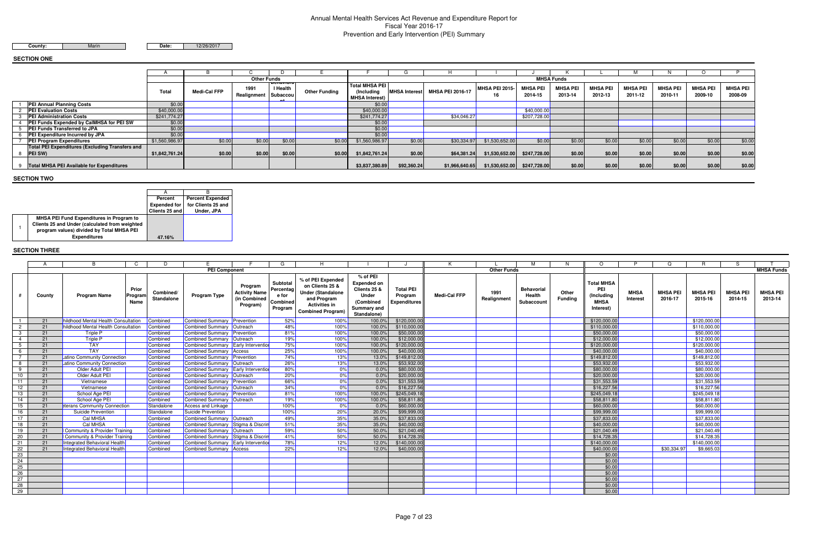# Annual Mental Health Services Act Revenue and Expenditure Report for Fiscal Year 2016-17Prevention and Early Intervention (PEI) Summary

Marin

**Date:** 12/26/2017

### **SECTION ONE**

### **SECTION TWO**

### **SECTION THREE**

|                                                                   |                |              | <b>Other Funds</b>  |                                          |                      |                                                       |             |                                |                |                            | <b>MHSA Funds</b>          |                            |                            |                            |                            |                            |
|-------------------------------------------------------------------|----------------|--------------|---------------------|------------------------------------------|----------------------|-------------------------------------------------------|-------------|--------------------------------|----------------|----------------------------|----------------------------|----------------------------|----------------------------|----------------------------|----------------------------|----------------------------|
|                                                                   | <b>Total</b>   | Medi-Cal FFP | 1991<br>Realignment | <b>DELIAVIOL</b><br>I Health<br>Subaccou | <b>Other Funding</b> | <b>Total MHSA PEI</b><br>(Including<br>MHSA Interest) |             | MHSA Interest MHSA PEI 2016-17 | MHSA PEI 2015- | <b>MHSA PEI</b><br>2014-15 | <b>MHSA PEI</b><br>2013-14 | <b>MHSA PEI</b><br>2012-13 | <b>MHSA PEI</b><br>2011-12 | <b>MHSA PEI</b><br>2010-11 | <b>MHSA PEI</b><br>2009-10 | <b>MHSA PEI</b><br>2008-09 |
| <b>PEI Annual Planning Costs</b>                                  | \$0.00         |              |                     |                                          |                      | \$0.00                                                |             |                                |                |                            |                            |                            |                            |                            |                            |                            |
| <b>PEI Evaluation Costs</b>                                       | \$40,000.00    |              |                     |                                          |                      | \$40,000.00                                           |             |                                |                | \$40,000.00                |                            |                            |                            |                            |                            |                            |
| <b>PEI Administration Costs</b>                                   | \$241,774.27   |              |                     |                                          |                      | \$241,774.27                                          |             | \$34,046.27                    |                | \$207,728.00               |                            |                            |                            |                            |                            |                            |
| <b>PEI Funds Expended by CalMHSA for PEI SW</b>                   | \$0.00         |              |                     |                                          |                      | \$0.00                                                |             |                                |                |                            |                            |                            |                            |                            |                            |                            |
| <b>PEI Funds Transferred to JPA</b>                               | \$0.00         |              |                     |                                          |                      | \$0.00                                                |             |                                |                |                            |                            |                            |                            |                            |                            |                            |
| <b>PEI Expenditure Incurred by JPA</b>                            | \$0.00         |              |                     |                                          |                      | \$0.00                                                |             |                                |                |                            |                            |                            |                            |                            |                            |                            |
| <b>PEI Program Expenditures</b>                                   | \$1,560,986.97 | \$0.00       | \$0.00              | \$0.00                                   | \$0.00               | \$1,560,986.97                                        | \$0.00      | \$30,334.97                    | \$1,530,652.00 | \$0.00                     | \$0.00                     | \$0.00                     | \$0.00                     | \$0.00                     | \$0.00                     | \$0.00                     |
| <b>Total PEI Expenditures (Excluding Transfers and</b><br>PEI SW) | \$1,842,761.24 | \$0.00       | \$0.00              | \$0.00                                   | \$0.00               | \$1,842,761.24                                        | \$0.00      | \$64,381.24                    | \$1,530,652.00 | \$247,728.00               | \$0.00                     | \$0.00                     | \$0.00                     | \$0.00                     | \$0.00                     | \$0.00                     |
| <b>Total MHSA PEI Available for Expenditures</b>                  |                |              |                     |                                          |                      | \$3,837,380.89                                        | \$92,360.24 | \$1,966,640.65                 | \$1,530,652.00 | \$247,728.00               | \$0.00                     | \$0.00                     | \$0.00                     | \$0.00                     | \$0.00                     | \$0.00                     |

|                | A      | B.                                  | C.                       |                         | <b>PEI Component</b>                |                                                             | G                                                     | H                                                                                                                                   |                                                                                                    |                                                    | к                   | <b>Other Funds</b>  | M                                         | N                       | $\Omega$                                                           | P                       | $\Omega$                   | R                          |                            | <b>MHSA Funds</b>          |
|----------------|--------|-------------------------------------|--------------------------|-------------------------|-------------------------------------|-------------------------------------------------------------|-------------------------------------------------------|-------------------------------------------------------------------------------------------------------------------------------------|----------------------------------------------------------------------------------------------------|----------------------------------------------------|---------------------|---------------------|-------------------------------------------|-------------------------|--------------------------------------------------------------------|-------------------------|----------------------------|----------------------------|----------------------------|----------------------------|
|                |        |                                     |                          |                         |                                     |                                                             |                                                       |                                                                                                                                     |                                                                                                    |                                                    |                     |                     |                                           |                         |                                                                    |                         |                            |                            |                            |                            |
|                | County | <b>Program Name</b>                 | Prior<br>Program<br>Name | Combined/<br>Standalone | <b>Program Type</b>                 | Program<br><b>Activity Name</b><br>(in Combined<br>Program) | Subtotal<br>Percentad<br>e for<br>Combined<br>Program | % of PEI Expended<br>on Clients 25 &<br><b>Under (Standalone</b><br>and Program<br><b>Activities in</b><br><b>Combined Program)</b> | % of PEI<br><b>Expended on</b><br>Clients 25 &<br>Under<br>(Combined<br>Summary and<br>Standalone) | <b>Total PEI</b><br>Program<br><b>Expenditures</b> | <b>Medi-Cal FFP</b> | 1991<br>Realignment | <b>Behavorial</b><br>Health<br>Subaccount | Other<br><b>Fundina</b> | <b>Total MHSA</b><br>PEI<br>(Including<br><b>MHSA</b><br>Interest) | <b>MHSA</b><br>Interest | <b>MHSA PEI</b><br>2016-17 | <b>MHSA PEI</b><br>2015-16 | <b>MHSA PEI</b><br>2014-15 | <b>MHSA PEI</b><br>2013-14 |
| $\overline{1}$ | 21     | hildhood Mental Health Consultation |                          | Combined                | Combined Summary Prevention         |                                                             | 52%                                                   | 100%                                                                                                                                | 100.0%                                                                                             | \$120,000.00                                       |                     |                     |                                           |                         | \$120,000.00                                                       |                         |                            | \$120,000.00               |                            |                            |
| $\overline{2}$ | 21     | hildhood Mental Health Consultation |                          | Combined                | Combined Summary Outreach           |                                                             | 48%                                                   | 100%                                                                                                                                | 100.0%                                                                                             | \$110,000.00                                       |                     |                     |                                           |                         | \$110,000.00                                                       |                         |                            | \$110,000.00               |                            |                            |
| $\mathbf{3}$   | 21     | Triple P                            |                          | Combined                | Combined Summary Prevention         |                                                             | 81%                                                   | 100%                                                                                                                                | 100.0%                                                                                             | \$50,000.00                                        |                     |                     |                                           |                         | \$50,000.00                                                        |                         |                            | \$50,000.0                 |                            |                            |
| $\overline{4}$ | 21     | Triple P                            |                          | Combined                | Combined Summary Outreach           |                                                             | 19%                                                   | 100%                                                                                                                                | 100.0%                                                                                             | \$12,000.00                                        |                     |                     |                                           |                         | \$12,000.00                                                        |                         |                            | \$12,000.00                |                            |                            |
| - 5            | 21     | <b>TAY</b>                          |                          | Combined                | Combined Summary Early Intervention |                                                             | 75%                                                   | 100%                                                                                                                                | 100.0%                                                                                             | \$120,000.00                                       |                     |                     |                                           |                         | \$120,000.00                                                       |                         |                            | \$120,000.00               |                            |                            |
| - 6            | 21     | <b>TAY</b>                          |                          | Combined                | Combined Summary Access             |                                                             | 25%                                                   | 100%                                                                                                                                | 100.0%                                                                                             | \$40,000.00                                        |                     |                     |                                           |                         | \$40,000.00                                                        |                         |                            | \$40,000.00                |                            |                            |
|                | 21     | Latino Community Connection         |                          | Combined                | Combined Summary Prevention         |                                                             | 74%                                                   | 13%                                                                                                                                 | 13.0%                                                                                              | \$149,812.00                                       |                     |                     |                                           |                         | \$149,812.00                                                       |                         |                            | \$149,812.00               |                            |                            |
| - 8            | 21     | Latino Community Connection         |                          | Combined                | Combined Summary Outreach           |                                                             | 26%                                                   | 13%                                                                                                                                 | 13.0%                                                                                              | \$53,932.00                                        |                     |                     |                                           |                         | \$53,932.00                                                        |                         |                            | \$53,932.00                |                            |                            |
| 9              | 21     | Older Adult PEI                     |                          | Combined                | Combined Summary Early Intervention |                                                             | 80%                                                   | 0%                                                                                                                                  | 0.0%                                                                                               | \$80,000.00                                        |                     |                     |                                           |                         | \$80,000.00                                                        |                         |                            | \$80,000.00                |                            |                            |
| 10             | 21     | Older Adult PEI                     |                          | Combined                | Combined Summary Outreach           |                                                             | 20%                                                   | 0%                                                                                                                                  | 0.0%                                                                                               | \$20,000.00                                        |                     |                     |                                           |                         | \$20,000.00                                                        |                         |                            | \$20,000.00                |                            |                            |
| 11             | 21     | Vietnamese                          |                          | Combined                | Combined Summary Prevention         |                                                             | 66%                                                   | 0%                                                                                                                                  | 0.0%                                                                                               | \$31,553.59                                        |                     |                     |                                           |                         | \$31,553.59                                                        |                         |                            | \$31,553.59                |                            |                            |
| 12             | 21     | Vietnamese                          |                          | Combined                | Combined Summary Outreach           |                                                             | 34%                                                   | 0%                                                                                                                                  | 0.0%                                                                                               | \$16,227.56                                        |                     |                     |                                           |                         | \$16,227.56                                                        |                         |                            | \$16,227.56                |                            |                            |
| 13             | 21     | School Age PEI                      |                          | Combined                | Combined Summary Prevention         |                                                             | 81%                                                   | 100%                                                                                                                                | 100.0%                                                                                             | \$245,049.18                                       |                     |                     |                                           |                         | \$245,049.18                                                       |                         |                            | \$245,049.18               |                            |                            |
| 14             | 21     | School Age PEI                      |                          | Combined                | Combined Summary Outreach           |                                                             | 19%                                                   | 100%                                                                                                                                | 100.0%                                                                                             | \$58,811.80                                        |                     |                     |                                           |                         | \$58,811.80                                                        |                         |                            | \$58,811.80                |                            |                            |
| 15             | 21     | eterans Community Connection        |                          | Standalone              | Access and Linkage                  |                                                             | 100%                                                  | 0%                                                                                                                                  | 0.0%                                                                                               | \$60,000.00                                        |                     |                     |                                           |                         | \$60,000.00                                                        |                         |                            | \$60,000.00                |                            |                            |
| 16             | 21     | Suicide Prevention                  |                          | Standalone              | Suicide Prevention                  |                                                             | 100%                                                  | 20%                                                                                                                                 | 20.0%                                                                                              | \$99,999.00                                        |                     |                     |                                           |                         | \$99,999.00                                                        |                         |                            | \$99,999.0                 |                            |                            |
| 17             | 21     | Cal MHSA                            |                          | Combined                | Combined Summary Outreach           |                                                             | 49%                                                   | 35%                                                                                                                                 | 35.0%                                                                                              | \$37,833.00                                        |                     |                     |                                           |                         | \$37,833.00                                                        |                         |                            | \$37,833.00                |                            |                            |
| 18             | 21     | Cal MHSA                            |                          | Combined                | Combined Summary Stigma & Discrim   |                                                             | 51%                                                   | 35%                                                                                                                                 | 35.0%                                                                                              | \$40,000.00                                        |                     |                     |                                           |                         | \$40,000.00                                                        |                         |                            | \$40,000.00                |                            |                            |
| 19             | 21     | Community & Provider Training       |                          | Combined                | Combined Summary   Outreach         |                                                             | 59%                                                   | 50%                                                                                                                                 | 50.0%                                                                                              | \$21,040.49                                        |                     |                     |                                           |                         | \$21,040.49                                                        |                         |                            | \$21,040.49                |                            |                            |
| 20             | 21     | Community & Provider Training       |                          | Combined                | Combined Summary Stigma & Discrim   |                                                             | 41%                                                   | 50%                                                                                                                                 | 50.0%                                                                                              | \$14,728.35                                        |                     |                     |                                           |                         | \$14,728.35                                                        |                         |                            | \$14,728.35                |                            |                            |
| 21             | 21     | Integrated Behavioral Health        |                          | Combined                | Combined Summary Early Intervention |                                                             | 78%                                                   | 12%                                                                                                                                 | 12.0%                                                                                              | \$140,000.00                                       |                     |                     |                                           |                         | \$140,000.00                                                       |                         |                            | \$140,000.00               |                            |                            |
| 22             | 21     | Integrated Behavioral Health        |                          | Combined                | Combined Summary Access             |                                                             | 22%                                                   | 12%                                                                                                                                 | 12.0%                                                                                              | \$40,000.00                                        |                     |                     |                                           |                         | \$40,000.00                                                        |                         | \$30,334.97                | \$9,665.03                 |                            |                            |
| 23             |        |                                     |                          |                         |                                     |                                                             |                                                       |                                                                                                                                     |                                                                                                    |                                                    |                     |                     |                                           |                         | \$0.00                                                             |                         |                            |                            |                            |                            |
| 24             |        |                                     |                          |                         |                                     |                                                             |                                                       |                                                                                                                                     |                                                                                                    |                                                    |                     |                     |                                           |                         | \$0.00                                                             |                         |                            |                            |                            |                            |
| 25             |        |                                     |                          |                         |                                     |                                                             |                                                       |                                                                                                                                     |                                                                                                    |                                                    |                     |                     |                                           |                         | \$0.00                                                             |                         |                            |                            |                            |                            |
| 26             |        |                                     |                          |                         |                                     |                                                             |                                                       |                                                                                                                                     |                                                                                                    |                                                    |                     |                     |                                           |                         | \$0.00                                                             |                         |                            |                            |                            |                            |
| 27             |        |                                     |                          |                         |                                     |                                                             |                                                       |                                                                                                                                     |                                                                                                    |                                                    |                     |                     |                                           |                         | \$0.00                                                             |                         |                            |                            |                            |                            |
| 28             |        |                                     |                          |                         |                                     |                                                             |                                                       |                                                                                                                                     |                                                                                                    |                                                    |                     |                     |                                           |                         | \$0.00                                                             |                         |                            |                            |                            |                            |
| 29             |        |                                     |                          |                         |                                     |                                                             |                                                       |                                                                                                                                     |                                                                                                    |                                                    |                     |                     |                                           |                         | \$0.00                                                             |                         |                            |                            |                            |                            |

|                                                 | Percent             | <b>Percent Expended</b> |
|-------------------------------------------------|---------------------|-------------------------|
|                                                 | <b>Expended for</b> | for Clients 25 and      |
|                                                 | Clients 25 and      | Under, JPA              |
| <b>MHSA PEI Fund Expenditures in Program to</b> |                     |                         |
| Clients 25 and Under (calculated from weighted  |                     |                         |
| program values) divided by Total MHSA PEI       |                     |                         |
| <b>Expenditures</b>                             | 47.16%              |                         |

### **County:**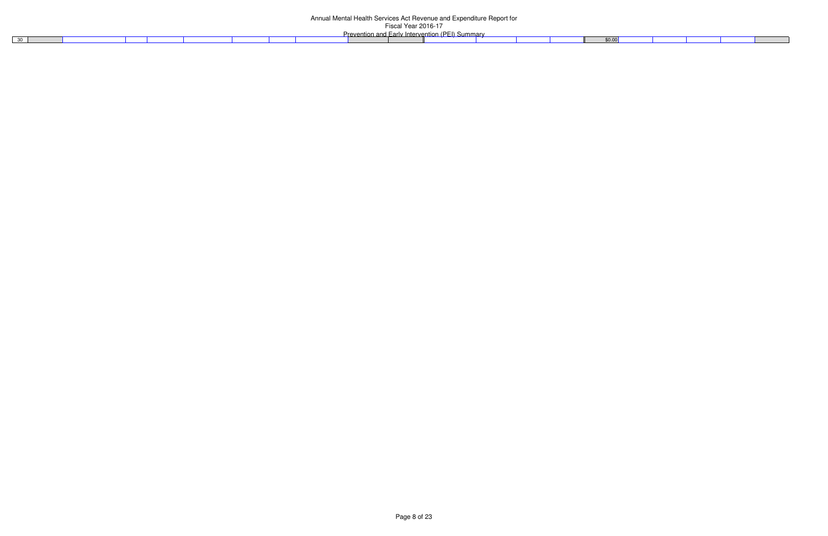30

| Page 8 of 23 |
|--------------|
|--------------|

| 0.00 |  |  |  |
|------|--|--|--|
|      |  |  |  |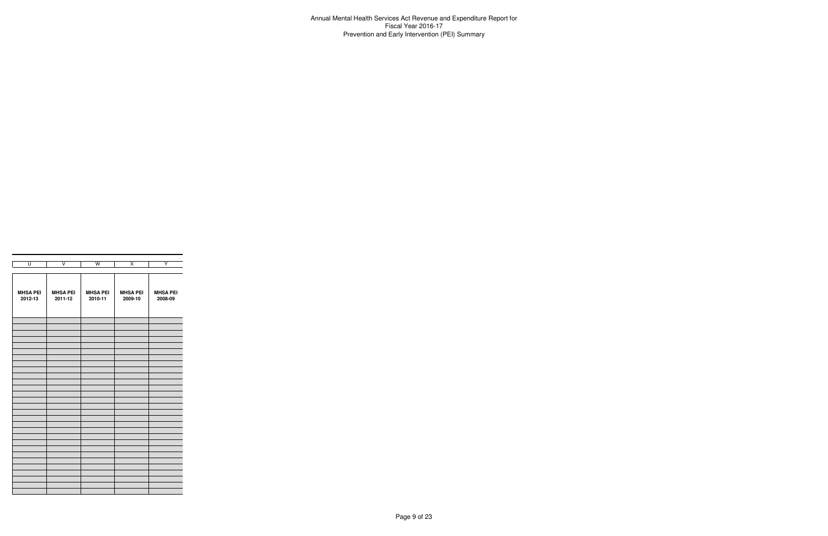Annual Mental Health Services Act Revenue and Expenditure Report for Fiscal Year 2016-17Prevention and Early Intervention (PEI) Summary

| $\overline{\mathsf{U}}$ | $\overline{\mathsf{v}}$ | $\overline{W}$  | $\overline{\mathsf{x}}$ | Ÿ               |
|-------------------------|-------------------------|-----------------|-------------------------|-----------------|
|                         |                         |                 |                         |                 |
| <b>MHSA PEI</b>         | <b>MHSA PEI</b>         | <b>MHSA PEI</b> | <b>MHSA PEI</b>         | <b>MHSA PEI</b> |
| 2012-13                 | 2011-12                 | 2010-11         | 2009-10                 | 2008-09         |
|                         |                         |                 |                         |                 |
|                         |                         |                 |                         |                 |
|                         |                         |                 |                         |                 |
|                         |                         |                 |                         |                 |
|                         |                         |                 |                         |                 |
|                         |                         |                 |                         |                 |
|                         |                         |                 |                         |                 |
|                         |                         |                 |                         |                 |
|                         |                         |                 |                         |                 |
|                         |                         |                 |                         |                 |
|                         |                         |                 |                         |                 |
|                         |                         |                 |                         |                 |
|                         |                         |                 |                         |                 |
|                         |                         |                 |                         |                 |
|                         |                         |                 |                         |                 |
|                         |                         |                 |                         |                 |
|                         |                         |                 |                         |                 |
|                         |                         |                 |                         |                 |
|                         |                         |                 |                         |                 |
|                         |                         |                 |                         |                 |
|                         |                         |                 |                         |                 |
|                         |                         |                 |                         |                 |
|                         |                         |                 |                         |                 |
|                         |                         |                 |                         |                 |
|                         |                         |                 |                         |                 |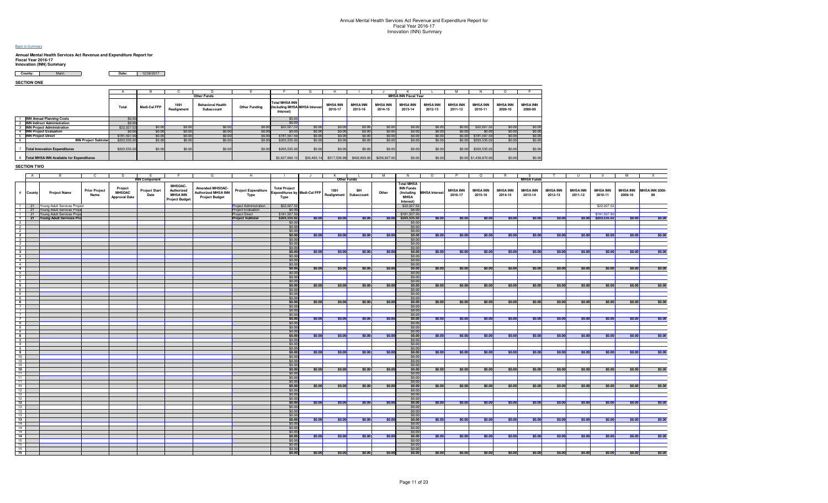#### **Back to Summary**

# **Annual Mental Health Services Act Revenue and Expenditure Report for Fiscal Year 2016-17 Innovation (INN) Summary**

| County: | Date: | 12/26/201 |
|---------|-------|-----------|
|         |       |           |

**SECTION ONE**

|                                             |              |                     |                     | <b>Other Funds</b>                     |                      |                                                                     |             |                            |                            |                            | <b>MHSA INN Fiscal Year</b> |                            |                            |                            |                            |                            |
|---------------------------------------------|--------------|---------------------|---------------------|----------------------------------------|----------------------|---------------------------------------------------------------------|-------------|----------------------------|----------------------------|----------------------------|-----------------------------|----------------------------|----------------------------|----------------------------|----------------------------|----------------------------|
|                                             | Total        | <b>Medi-Cal FFP</b> | 1991<br>Realignment | <b>Behavioral Health</b><br>Subaccount | <b>Other Funding</b> | <b>Total MHSA INN</b><br>(Including MHSA MHSA Interest<br>Interest) |             | <b>MHSA INN</b><br>2016-17 | <b>MHSA INN</b><br>2015-16 | <b>MHSA INN</b><br>2014-15 | <b>MHSA INN</b><br>2013-14  | <b>MHSA INN</b><br>2012-13 | <b>MHSA INN</b><br>2011-12 | <b>MHSA INN</b><br>2010-11 | <b>MHSA INN</b><br>2009-10 | <b>MHSA INN</b><br>2008-09 |
| <b>INN Annual Planning Costs</b>            | \$0.00       |                     |                     |                                        |                      | \$0.00                                                              |             |                            |                            |                            |                             |                            |                            |                            |                            |                            |
| <b>INN Indirect Administration</b>          | \$0.00       |                     |                     |                                        |                      | \$0.00                                                              |             |                            |                            |                            |                             |                            |                            |                            |                            |                            |
| <b>INN Project Administration</b>           | \$22,027.52  | \$0.00              | \$0.00              | \$0.00                                 | \$0.00               | \$22,027.52                                                         | \$0.00      | \$0.00                     | \$0.00                     | \$0.00                     | \$0.00                      | \$0.00                     | \$0.00                     | \$22,027.52                | \$0.00                     | \$0.00                     |
| <b>INN Project Evaluation</b>               | \$0.00       | \$0.00              | \$0.00              | \$0.00                                 | \$0.00               | \$0.00                                                              | \$0.00      | \$0.00                     | \$0.00                     | \$0.00                     | \$0.00                      | \$0.00                     | \$0.00                     | \$0.00                     | \$0.00                     | \$0.00                     |
| <b>INN Project Direct</b>                   | \$181,507.50 | \$0.00              | \$0.00              | \$0.00                                 | \$0.00               | \$181,507.50                                                        | \$0.00      | \$0.00                     | \$0.00                     | \$0.00                     | \$0.00                      | \$0.00                     | \$0.00                     | \$181,507.50               | \$0.00                     | \$0.00                     |
| <b>INN Project Subtotal</b>                 | \$203,535.02 | \$0.00              | \$0.00              | \$0.00                                 | \$0.00               | \$203,535.02                                                        | \$0.00      | \$0.00                     | \$0.00                     | \$0.00                     | \$0.00                      | \$0.00                     | \$0.00                     | \$203,535.02               | \$0.00                     | \$0.00                     |
| <b>Total Innovation Expenditures</b>        | \$203,535.02 | \$0.00              | \$0.00              | \$0.00                                 | \$0.00               | \$203,535.02                                                        | \$0.00      | \$0.00                     | \$0.00                     | \$0.00                     | \$0.00                      | \$0.00                     | \$0.00                     | \$203,535.02               | \$0.00                     | \$0.00                     |
| 8 Total MHSA INN Available for Expenditures |              |                     |                     |                                        |                      | \$2,637,600.12                                                      | \$20,463.14 | \$517,536.98               | \$402,803.00               | \$256,927.00               | \$0.00                      | \$0.00                     |                            | \$0.00 \$1,439,870.00      | \$0.00                     | \$0.00                     |

#### **SECTION TWO**

| A                                         |                                   |                      | D.                   |                              |                       |                            | н.                         |                                     | $\mathbf{H}$ | ĸ                  |            | M      | N                     | $\circ$              | P               | $\Omega$        | <b>R</b>        |                   |                 | U               | V.                    | w               | X              |
|-------------------------------------------|-----------------------------------|----------------------|----------------------|------------------------------|-----------------------|----------------------------|----------------------------|-------------------------------------|--------------|--------------------|------------|--------|-----------------------|----------------------|-----------------|-----------------|-----------------|-------------------|-----------------|-----------------|-----------------------|-----------------|----------------|
|                                           |                                   |                      |                      | <b>INN Component</b>         |                       |                            |                            |                                     |              | <b>Other Funds</b> |            |        |                       |                      |                 |                 |                 | <b>MHSA Funds</b> |                 |                 |                       |                 |                |
|                                           |                                   |                      |                      |                              |                       |                            |                            |                                     |              |                    |            |        | <b>Total MHSA</b>     |                      |                 |                 |                 |                   |                 |                 |                       |                 |                |
|                                           |                                   | <b>Prior Project</b> | Project              |                              | MHSOAC-<br>Authorized | Amended MHSOAC-            |                            | <b>Total Project</b>                |              | 1991               | BH         |        | <b>INN Funds</b>      |                      | <b>MHSA INN</b> | <b>MHSA INN</b> | <b>MHSA INN</b> | <b>MHSA INN</b>   | <b>MHSA INN</b> | <b>MHSA INN</b> | <b>MHSA INN</b>       | <b>MHSA INN</b> | MHSA INN 2008- |
| # County                                  | <b>Project Name</b>               | Name                 | <b>MHSOAC</b>        | <b>Project Start</b><br>Date | <b>MHSA INN</b>       | <b>Authorized MHSA INN</b> | <b>Project Expenditure</b> | <b>Expenditures by Medi-Cal FFP</b> |              | Realignment        | Subaccount | Other  | (Including            | <b>MHSA</b> Interest | 2016-17         | 2015-16         | 2014-15         | 2013-14           | 2012-13         | 2011-12         | 2010-11               | 2009-10         | 09             |
|                                           |                                   |                      | <b>Approval Date</b> |                              | <b>Project Budget</b> | <b>Project Budget</b>      | Type                       | Type                                |              |                    |            |        | <b>MHSA</b>           |                      |                 |                 |                 |                   |                 |                 |                       |                 |                |
|                                           |                                   |                      |                      |                              |                       |                            |                            |                                     |              |                    |            |        | Interest)             |                      |                 |                 |                 |                   |                 |                 |                       |                 |                |
|                                           | 1 21 Young Adult Services Project |                      |                      |                              |                       |                            | Project Administration     | \$22,027.5                          |              |                    |            |        | \$22,027.52           |                      |                 |                 |                 |                   |                 |                 | \$22,027.52           |                 |                |
|                                           | 1 21 Young Adult Services Proje   |                      |                      |                              |                       |                            | Project Evaluation         | \$0.0                               |              |                    |            |        | \$0.00                |                      |                 |                 |                 |                   |                 |                 |                       |                 |                |
|                                           | 1 21 Young Adult Services Proje   |                      |                      |                              |                       |                            | Project Direct             | \$181,507.5                         |              |                    |            |        | \$181,507.50          |                      |                 |                 |                 |                   |                 |                 | \$181,507.50          |                 |                |
|                                           | 1 21 Young Adult Services Pro     |                      |                      |                              |                       |                            | <b>Project Subtotal</b>    | \$203,535.0                         | \$0.00       | \$0.00             | \$0.00     |        | \$0.00 \$203,535.02   | \$0.00               | \$0.00          | \$0.00          | \$0.00          | \$0.00            | \$0.00          |                 | $$0.00$ $$203,535.02$ | \$0.00          | \$0.00         |
| $\overline{2}$                            |                                   |                      |                      |                              |                       |                            |                            | \$0.0                               |              |                    |            |        | \$0.00                |                      |                 |                 |                 |                   |                 |                 |                       |                 |                |
| $\overline{2}$                            |                                   |                      |                      |                              |                       |                            |                            | \$0.00                              |              |                    |            |        | \$0.00                |                      |                 |                 |                 |                   |                 |                 |                       |                 |                |
| $\frac{2}{2}$                             |                                   |                      |                      |                              |                       |                            |                            | \$0.00                              |              |                    |            |        | \$0.00                |                      |                 |                 |                 |                   |                 |                 |                       |                 |                |
| $3^{\circ}$                               |                                   |                      |                      |                              |                       |                            |                            | \$0.00                              | \$0.00       | \$0.00             | \$0.00     | \$0.00 | \$0.00                | \$0.00               | \$0.00          | \$0.00          | \$0.00          | \$0.00            | \$0.00          | \$0.00          | \$0.00                | \$0.00          | \$0.00         |
|                                           |                                   |                      |                      |                              |                       |                            |                            | \$0.00                              |              |                    |            |        | \$0.00                |                      |                 |                 |                 |                   |                 |                 |                       |                 |                |
| $\overline{3}$<br>$\overline{\mathbf{3}}$ |                                   |                      |                      |                              |                       |                            |                            | \$0.00<br>\$0.00                    |              |                    |            |        | \$0.00<br>\$0.00      |                      |                 |                 |                 |                   |                 |                 |                       |                 |                |
| $3^{\circ}$                               |                                   |                      |                      |                              |                       |                            |                            | \$0.00                              | \$0.00       | \$0.00             | \$0.00     | \$0.00 | \$0.00                | \$0.00               | \$0.00          | \$0.00          | \$0.00          | \$0.00            | \$0.00          | \$0.00          | \$0.00                | \$0.00          | \$0.00         |
| $\frac{1}{4}$                             |                                   |                      |                      |                              |                       |                            |                            |                                     |              |                    |            |        | \$0.00                |                      |                 |                 |                 |                   |                 |                 |                       |                 |                |
| 4                                         |                                   |                      |                      |                              |                       |                            |                            | $$0.00$<br>$$0.00$                  |              |                    |            |        | \$0.00                |                      |                 |                 |                 |                   |                 |                 |                       |                 |                |
| $\overline{4}$                            |                                   |                      |                      |                              |                       |                            |                            |                                     |              |                    |            |        |                       |                      |                 |                 |                 |                   |                 |                 |                       |                 |                |
| $\overline{4}$                            |                                   |                      |                      |                              |                       |                            |                            | $$0.00$<br>$$0.00$                  | \$0.00       | \$0.00             | \$0.00     | \$0.00 | $$0.00$<br>$$0.00$    | \$0.00               | \$0.00          | \$0.00          | \$0.00          | \$0.00            | \$0.00          | \$0.00          | \$0.00                | \$0.00          | \$0.00         |
| $5^{\circ}$                               |                                   |                      |                      |                              |                       |                            |                            | \$0.00                              |              |                    |            |        | \$0.00                |                      |                 |                 |                 |                   |                 |                 |                       |                 |                |
| $\frac{5}{5}$                             |                                   |                      |                      |                              |                       |                            |                            |                                     |              |                    |            |        | $\frac{$0.00}{$0.00}$ |                      |                 |                 |                 |                   |                 |                 |                       |                 |                |
|                                           |                                   |                      |                      |                              |                       |                            |                            | $$0.00$<br>$$0.00$                  |              |                    |            |        |                       |                      |                 |                 |                 |                   |                 |                 |                       |                 |                |
| $5\overline{)}$                           |                                   |                      |                      |                              |                       |                            |                            | \$0.00                              | \$0.00       | \$0.00             | \$0.00     | \$0.00 | \$0.00                | \$0.00               | \$0.00          | \$0.00          | \$0.00          | \$0.00            | \$0.00          | \$0.00          | \$0.00                | \$0.00          | \$0.00         |
| $\begin{array}{c} 6 \\ 6 \end{array}$     |                                   |                      |                      |                              |                       |                            |                            | $$0.00$<br>$$0.00$                  |              |                    |            |        | \$0.00                |                      |                 |                 |                 |                   |                 |                 |                       |                 |                |
|                                           |                                   |                      |                      |                              |                       |                            |                            |                                     |              |                    |            |        | \$0.00                |                      |                 |                 |                 |                   |                 |                 |                       |                 |                |
| $6\overline{6}$                           |                                   |                      |                      |                              |                       |                            |                            | $$0.00$<br>\$0.00                   |              |                    |            |        | $\frac{$0.00}{$0.00}$ |                      |                 |                 |                 |                   |                 |                 |                       |                 |                |
| $-6$                                      |                                   |                      |                      |                              |                       |                            |                            |                                     | \$0.00       | \$0.00             | \$0.00     | \$0.00 |                       | \$0.00               | \$0.00          | \$0.00          | \$0.00          | \$0.00            | \$0.00          | \$0.00          | \$0.00                | \$0.00          | \$0.00         |
| $\overline{7}$                            |                                   |                      |                      |                              |                       |                            |                            | \$0.00                              |              |                    |            |        | \$0.00                |                      |                 |                 |                 |                   |                 |                 |                       |                 |                |
| $\overline{7}$                            |                                   |                      |                      |                              |                       |                            |                            | \$0.00                              |              |                    |            |        | \$0.00                |                      |                 |                 |                 |                   |                 |                 |                       |                 |                |
| $\overline{7}$<br>$\overline{7}$          |                                   |                      |                      |                              |                       |                            |                            | \$0.00<br>\$0.00                    |              |                    | \$0.00     | \$0.00 | \$0.00<br>\$0.00      | \$0.00               |                 | \$0.00          | \$0.00          |                   | \$0.00          | \$0.00          | \$0.00                | \$0.00          | \$0.00         |
| $-8$                                      |                                   |                      |                      |                              |                       |                            |                            | \$0.00                              | \$0.00       | \$0.00             |            |        | \$0.00                |                      | \$0.00          |                 |                 | \$0.00            |                 |                 |                       |                 |                |
| 8                                         |                                   |                      |                      |                              |                       |                            |                            | \$0.00                              |              |                    |            |        | \$0.00                |                      |                 |                 |                 |                   |                 |                 |                       |                 |                |
| $\overline{\mathbf{8}}$                   |                                   |                      |                      |                              |                       |                            |                            | \$0.00                              |              |                    |            |        | \$0.00                |                      |                 |                 |                 |                   |                 |                 |                       |                 |                |
| 8                                         |                                   |                      |                      |                              |                       |                            |                            | \$0.00                              | \$0.00       | \$0.00             | \$0.00     | \$0.00 | \$0.00                | \$0.00               | \$0.00          | \$0.00          | \$0.00          | \$0.00            | \$0.00          | \$0.00          | \$0.00                | \$0.00          | \$0.00         |
| $\overline{9}$                            |                                   |                      |                      |                              |                       |                            |                            | \$0.00                              |              |                    |            |        | \$0.00                |                      |                 |                 |                 |                   |                 |                 |                       |                 |                |
| $\frac{1}{9}$                             |                                   |                      |                      |                              |                       |                            |                            | \$0.00                              |              |                    |            |        | \$0.00                |                      |                 |                 |                 |                   |                 |                 |                       |                 |                |
|                                           |                                   |                      |                      |                              |                       |                            |                            | \$0.00                              |              |                    |            |        | \$0.00                |                      |                 |                 |                 |                   |                 |                 |                       |                 |                |
| $\frac{9}{9}$                             |                                   |                      |                      |                              |                       |                            |                            | \$0.00                              | \$0.00       | \$0.00             | $ $ \$0.00 | \$0.00 | \$0.00                | \$0.00               | \$0.00          | \$0.00          | \$0.00          | \$0.00            | \$0.00          | \$0.00          | \$0.00                | \$0.00          | \$0.00         |
| 10                                        |                                   |                      |                      |                              |                       |                            |                            | \$0.00                              |              |                    |            |        | \$0.00                |                      |                 |                 |                 |                   |                 |                 |                       |                 |                |
| 10                                        |                                   |                      |                      |                              |                       |                            |                            | $$0.00$<br>$$0.00$                  |              |                    |            |        | $\frac{$0.00}{$0.00}$ |                      |                 |                 |                 |                   |                 |                 |                       |                 |                |
| 10                                        |                                   |                      |                      |                              |                       |                            |                            |                                     |              |                    |            |        |                       |                      |                 |                 |                 |                   |                 |                 |                       |                 |                |
| 10                                        |                                   |                      |                      |                              |                       |                            |                            | \$0.00                              | \$0.00       | \$0.00             | \$0.00     | \$0.00 | \$0.00                | \$0.00               | \$0.00          | \$0.00          | \$0.00          | \$0.00            | \$0.00          | \$0.00          | \$0.00                | \$0.00          | \$0.00         |
| 11                                        |                                   |                      |                      |                              |                       |                            |                            | $$0.00$<br>$$0.00$                  |              |                    |            |        | \$0.00                |                      |                 |                 |                 |                   |                 |                 |                       |                 |                |
| 11                                        |                                   |                      |                      |                              |                       |                            |                            |                                     |              |                    |            |        | \$0.00                |                      |                 |                 |                 |                   |                 |                 |                       |                 |                |
| 11                                        |                                   |                      |                      |                              |                       |                            |                            | $$0.00$<br>$$0.00$                  |              |                    |            |        | $$0.00$<br>$$0.00$    |                      |                 |                 |                 |                   |                 |                 |                       |                 |                |
| 11                                        |                                   |                      |                      |                              |                       |                            |                            | \$0.00                              | \$0.00       | \$0.00             | \$0.00     | \$0.00 |                       | \$0.00               | \$0.00          | \$0.00          | \$0.00          | \$0.00            | \$0.00          | \$0.00          | \$0.00                | \$0.00          | \$0.00         |
| 12<br>12                                  |                                   |                      |                      |                              |                       |                            |                            | \$0.00                              |              |                    |            |        | \$0.00<br>\$0.00      |                      |                 |                 |                 |                   |                 |                 |                       |                 |                |
| 12                                        |                                   |                      |                      |                              |                       |                            |                            | \$0.00                              |              |                    |            |        | \$0.00                |                      |                 |                 |                 |                   |                 |                 |                       |                 |                |
| 12                                        |                                   |                      |                      |                              |                       |                            |                            | \$0.00                              | \$0.00       | \$0.00             | \$0.00     | \$0.00 | \$0.00                | \$0.00               | \$0.00          | \$0.00          | \$0.00          | \$0.00            | \$0.00          | \$0.00          | \$0.00                | \$0.00          | \$0.00         |
| 13                                        |                                   |                      |                      |                              |                       |                            |                            | \$0.00                              |              |                    |            |        | \$0.00                |                      |                 |                 |                 |                   |                 |                 |                       |                 |                |
| 13                                        |                                   |                      |                      |                              |                       |                            |                            | \$0.00                              |              |                    |            |        | \$0.00                |                      |                 |                 |                 |                   |                 |                 |                       |                 |                |
| 13                                        |                                   |                      |                      |                              |                       |                            |                            | \$0.00                              |              |                    |            |        | \$0.00                |                      |                 |                 |                 |                   |                 |                 |                       |                 |                |
| 13                                        |                                   |                      |                      |                              |                       |                            |                            | \$0.00                              | \$0.00       | \$0.00             | \$0.00     | \$0.00 | \$0.00                | \$0.00               | \$0.00          | \$0.00          | \$0.00          | \$0.00            | \$0.00          | \$0.00          | \$0.00                | \$0.00          | \$0.00         |
| 14                                        |                                   |                      |                      |                              |                       |                            |                            | \$0.00                              |              |                    |            |        | \$0.00                |                      |                 |                 |                 |                   |                 |                 |                       |                 |                |
| 14                                        |                                   |                      |                      |                              |                       |                            |                            | \$0.00                              |              |                    |            |        | \$0.00                |                      |                 |                 |                 |                   |                 |                 |                       |                 |                |
| 14                                        |                                   |                      |                      |                              |                       |                            |                            | \$0.00                              |              |                    |            |        | \$0.00                |                      |                 |                 |                 |                   |                 |                 |                       |                 |                |
| 14                                        |                                   |                      |                      |                              |                       |                            |                            | \$0.00                              | \$0.00       | \$0.00             | \$0.00     | \$0.00 | \$0.00                | \$0.00               | \$0.00          | \$0.00          | \$0.00          | \$0.00            | \$0.00          | \$0.00          | \$0.00                | \$0.00          | \$0.00         |
| 15                                        |                                   |                      |                      |                              |                       |                            |                            | \$0.00                              |              |                    |            |        | \$0.00                |                      |                 |                 |                 |                   |                 |                 |                       |                 |                |
| 15                                        |                                   |                      |                      |                              |                       |                            |                            | $$0.00$<br>$$0.00$                  |              |                    |            |        | \$0.00                |                      |                 |                 |                 |                   |                 |                 |                       |                 |                |
| 15                                        |                                   |                      |                      |                              |                       |                            |                            |                                     |              |                    |            |        | \$0.00                |                      |                 |                 |                 |                   |                 |                 |                       |                 |                |
| 15                                        |                                   |                      |                      |                              |                       |                            |                            | \$0.00                              | \$0.00       | \$0.00             | \$0.00     | \$0.00 | \$0.00                | \$0.00               | \$0.00          | \$0.00          | \$0.00          | \$0.00            | \$0.00          | \$0.00          | \$0.00                | \$0.00          | \$0.00         |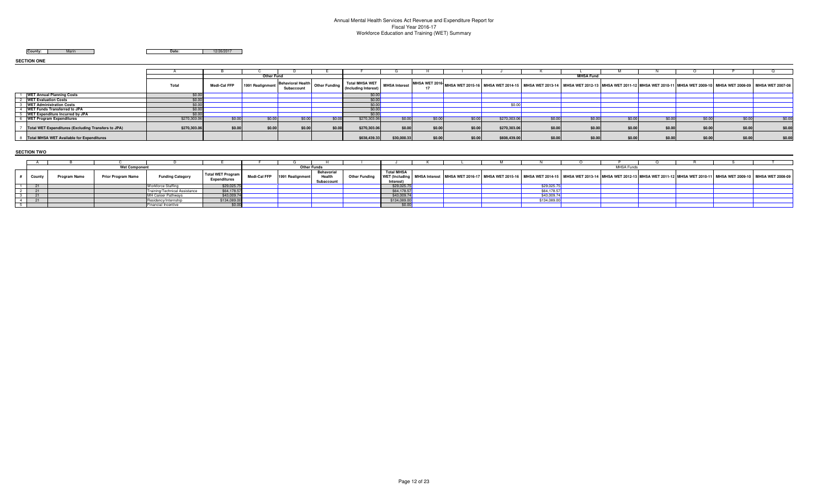# Annual Mental Health Services Act Revenue and Expenditure Report for Fiscal Year 2016-17 Workforce Education and Training (WET) Summary

**County:** Marin

**Date:** 12/26/2017

**SECTION ONE**

|                                                            |              |              | <b>Other Fund</b> |        |        |                                                                                                      |                      |        |        |                                                                                                                                                                             |        | <b>MHSA Fund</b> |        |        |        |        |
|------------------------------------------------------------|--------------|--------------|-------------------|--------|--------|------------------------------------------------------------------------------------------------------|----------------------|--------|--------|-----------------------------------------------------------------------------------------------------------------------------------------------------------------------------|--------|------------------|--------|--------|--------|--------|
|                                                            | Total        | Medi-Cal FFP | 1991 Realignment  |        |        | - Behavioral Health Other Funding    الساداء    Cher Funding    الصحيح الساداء    Cher Funding    ال | <b>MHSA Interest</b> |        |        | SI MHSA WET 2016- MHSA WET 2015-16 MHSA WET 2014-15 MHSA WET 2013-14 MHSA WET 2012-13 MHSA WET 2011-12 MHSA WET 200-11 MHSA WET 2009-10 MHSA WET 2008-09 MHSA WET 2007-08 I |        |                  |        |        |        |        |
| <b>WET Annual Planning Costs</b>                           | \$በ በ        |              |                   |        |        | $sn$ nn                                                                                              |                      |        |        |                                                                                                                                                                             |        |                  |        |        |        |        |
| <b>WET Evaluation Costs</b>                                |              |              |                   |        |        |                                                                                                      |                      |        |        |                                                                                                                                                                             |        |                  |        |        |        |        |
| <b>WET Administration Costs</b>                            |              |              |                   |        |        |                                                                                                      |                      |        |        |                                                                                                                                                                             |        |                  |        |        |        |        |
| <b>WET Funds Transferred to JPA</b>                        | \$0.00       |              |                   |        |        |                                                                                                      |                      |        |        |                                                                                                                                                                             |        |                  |        |        |        |        |
| <b>WET Expenditure Incurred by JPA</b>                     | \$0.0        |              |                   |        |        |                                                                                                      |                      |        |        |                                                                                                                                                                             |        |                  |        |        |        |        |
| <b>WET Program Expenditures</b>                            | \$270,303.06 | \$0.00       | \$0.00            | \$0.00 | \$0.00 | \$270,303.06                                                                                         | \$0.00               | \$0.00 | \$0.00 | \$270,303.06                                                                                                                                                                | \$0.00 | \$0.00           | \$0.00 | \$0.00 | \$0.00 | \$0.00 |
| <b>Total WET Expenditures (Excluding Transfers to JPA)</b> | \$270,303.06 | \$0.00       | \$0.00            | \$0.00 | \$0.00 | \$270,303.06                                                                                         | \$0.00               | \$0.00 | \$0.00 | \$270,303.06                                                                                                                                                                | \$0.00 | \$0.00           | \$0.00 | \$0.00 | \$0.00 | \$0.00 |
| <b>Total MHSA WET Available for Expenditures</b>           |              |              |                   |        |        | \$638,439.33                                                                                         | \$30,000.33          | \$0.00 | \$0.00 | \$608,439.00                                                                                                                                                                | \$0.00 | \$0.00           | \$0.00 | \$0.00 | \$0.00 | \$0.00 |

**SECTION TWO**

|       | <b>Wet Componen</b>       |                               |                          |              | <b>Other Funds</b> |            |                      |                   |  |              | <b>MHSA Funds</b> |                                                                                                                                                                                                                                |  |
|-------|---------------------------|-------------------------------|--------------------------|--------------|--------------------|------------|----------------------|-------------------|--|--------------|-------------------|--------------------------------------------------------------------------------------------------------------------------------------------------------------------------------------------------------------------------------|--|
|       |                           |                               |                          |              |                    | Behavorial |                      | <b>Total MHSA</b> |  |              |                   |                                                                                                                                                                                                                                |  |
| Count | <b>Prior Program Name</b> | <b>Funding Category</b>       | <b>Total WET Program</b> | Medi-Cal FFP | 1991 Realignment   | Health     | <b>Other Funding</b> | WET (Including    |  |              |                   | MHSA Interest NMHSA WET 2016-17 MHSA WET 2015-16 NMHSA WET 2014-15 NMHSA WET 2013-14 NMHSA WET 2012-13 NMHSA WET 2011-12 NMHSA WET 2010-11 NMHSA WET 2009-10 NMSA WET 2008-09 NMHSA WET 2010-11 NMHSA WET 2009-10 NMHSA WET 20 |  |
|       |                           |                               | <b>Expenditures</b>      |              |                    | Subaccount |                      | Interes           |  |              |                   |                                                                                                                                                                                                                                |  |
|       |                           | <b>Workforce Staffing</b>     | \$29,025.7               |              |                    |            |                      | \$29,025.7        |  | \$29,025     |                   |                                                                                                                                                                                                                                |  |
|       |                           | Training/Technical Assistance | \$64,178.57              |              |                    |            |                      | \$64,178.57       |  | \$64,178.57  |                   |                                                                                                                                                                                                                                |  |
|       |                           | <b>IMH Career Pathwavs</b>    | \$43,009.74              |              |                    |            |                      | \$43,009.7        |  | \$43,009.74  |                   |                                                                                                                                                                                                                                |  |
|       |                           | Residency/Internship          | \$134,089.00             |              |                    |            |                      | \$134,089.0       |  | \$134,089.00 |                   |                                                                                                                                                                                                                                |  |
|       |                           | Financial Incentive           | \$0.00                   |              |                    |            |                      |                   |  |              |                   |                                                                                                                                                                                                                                |  |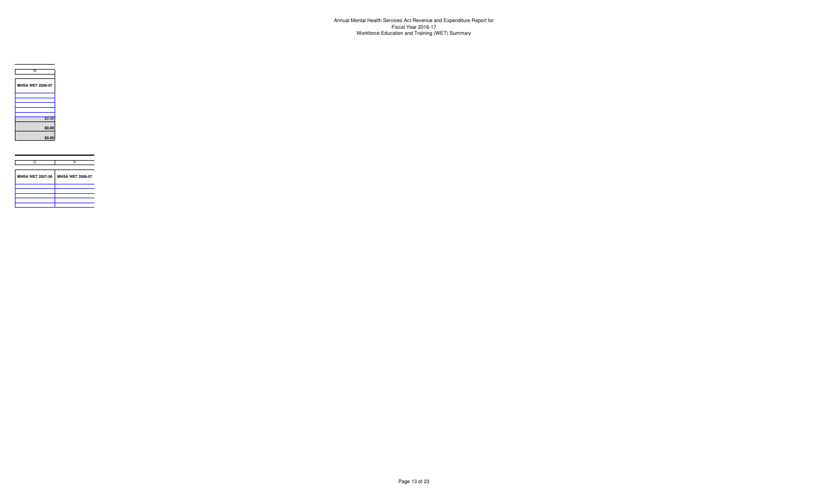

| <b>MHSA WET 2007-08</b> | <b>MHSA WET 2006-07</b><br>$\overline{\phantom{a}}$ |
|-------------------------|-----------------------------------------------------|
|                         |                                                     |
|                         |                                                     |
|                         |                                                     |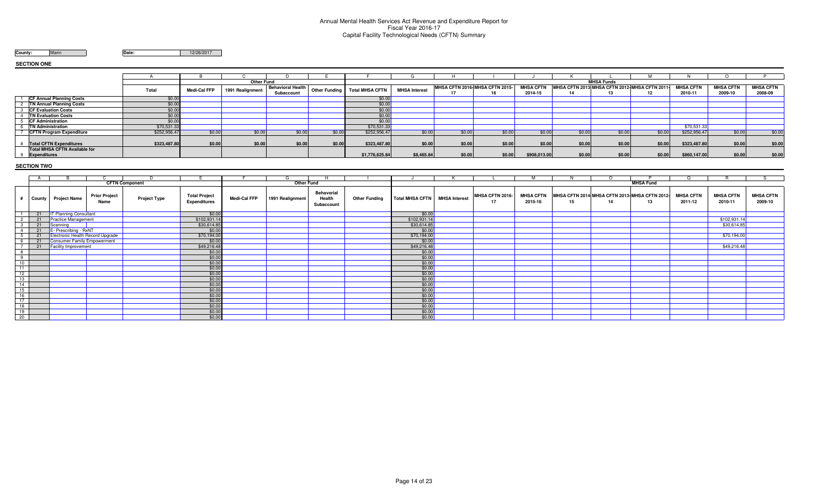#### Annual Mental Health Services Act Revenue and Expenditure Report for Fiscal Year 2016-17 Capital Facility Technological Needs (CFTN) Summary

**County:** Marin

**Date:** 12/26/2017

A B C D E F G H I J K L M N O P**Total Medi-Cal FFP 1991 Realignment Behavioral Health SubaccountOther Funding**<br>**Total MHSA CFTN**<br>**MHSA Interest**<br>**MHSA CFTN 2016- MHSA CFTN 2016- 17**<br>**16**<br>**\$0.00** d MHSA Funds<br>Health Other Funding Total MHSA CFTN MHSA Interest MHSA Interest MHSA CFTN 2016-<sup>1</sup> MHSA CFTN 2015- MHSA CFTN MHSA CFTN MHSA CFTN 2013<sup>1</sup> MHSA CFTN 2013-14 MHSA CFTN 2011-1 MHSA CFTN MHSA CFTN MHSA CFTN MHSA C 1 \$0.00 \$0.00 2 \$0.00 \$0.00 3 \$0.00 \$0.00 4 **TN Evaluation Costs**4 TN Evaluation Costs \$0.00 \$0.00 \$0.00 \$0.00 \$0.00 \$0.00 \$0.00 \$0.00 \$1.00 \$1.00 \$1.00 \$1.00 \$1.00 \$1.00 \$1.00 5 **CF Administration** \$0.00 \$0.00 6 **TN Administration** \$70,531.33 \$70,531.33 \$70,531.33 7**CFTN Program Expenditure** 7 CFTN Program Expenditure \$252,956.47 \$0.00 \$0.00 \$0.00 \$0.00 \$0.00 \$0.00 \$0.00 \$0.00 \$0.00 \$0.00 \$0.00 \$0.00 \$0.00 \$0.00 \$0.00 \$0.00 \$0.00 \$0.00 \$0.00 \$0.00 \$0.00 \$0.00 8**Total CFTN Expenditures**8 Total CFTN Expenditures \$323,487.80| \$0.00| \$0.00| \$0.00| \$0.00| \$0.00| \$0.00| \$0.00| \$0.00| \$0.00| \$0.00| \$0.00| \$0.00| \$0.00| \$0.00| \$0.00| \$0.00| \$0.00| \$0.00| \$0. 9**Expenditures \$1,776,625.84 \$8,465.84 \$0.00 \$0.00 \$908,013.00 \$0.00 \$0.00 \$0.00 \$860,147.00 \$0.00 \$0.00 Other FundCF Annual Planning Costs CF Evaluation CostsTN Annual Planning Costs Total MHSA CFTN Available for** 

#### **SECTION TWO**

**SECTION ONE**

|                                |        |                                     |                              |                     |                                                                  |              |                   |                                           |                      |                                                                   |                      |                       |                             |    | <sup>o</sup> |                                                     | $\cap$                      |                             |                             |
|--------------------------------|--------|-------------------------------------|------------------------------|---------------------|------------------------------------------------------------------|--------------|-------------------|-------------------------------------------|----------------------|-------------------------------------------------------------------|----------------------|-----------------------|-----------------------------|----|--------------|-----------------------------------------------------|-----------------------------|-----------------------------|-----------------------------|
|                                |        |                                     | <b>CFTN Component</b>        |                     |                                                                  |              | <b>Other Fund</b> |                                           |                      |                                                                   |                      |                       |                             |    |              | <b>MHSA Fund</b>                                    |                             |                             |                             |
|                                | County | <b>Project Name</b>                 | <b>Prior Project</b><br>Name | <b>Project Type</b> | <b>Total Project</b><br><b>Expenditures</b>                      | Medi-Cal FFP | 1991 Realignment  | <b>Behavorial</b><br>Health<br>Subaccount | <b>Other Funding</b> | <b>Total MHSA CFTN</b>                                            | <b>MHSA Interest</b> | MHSA CFTN 2016-<br>17 | <b>MHSA CFTN</b><br>2015-16 | 15 | 14           | MHSA CFTN 2014 MHSA CFTN 2013 MHSA CFTN 2012-<br>13 | <b>MHSA CFTN</b><br>2011-12 | <b>MHSA CFTN</b><br>2010-11 | <b>MHSA CFTN</b><br>2009-10 |
|                                |        | 21   IT Planning Consultant         |                              |                     | \$0.00                                                           |              |                   |                                           |                      | \$0.00                                                            |                      |                       |                             |    |              |                                                     |                             |                             |                             |
|                                |        | 21 Practice Management              |                              |                     | \$102,931.14                                                     |              |                   |                                           |                      | \$102,931.14                                                      |                      |                       |                             |    |              |                                                     |                             | \$102,931.14                |                             |
| $\overline{\mathbf{3}}$        | 21     | Scanning                            |                              |                     | \$30,614.85                                                      |              |                   |                                           |                      | \$30,614.85                                                       |                      |                       |                             |    |              |                                                     |                             | \$30,614.85                 |                             |
| $\overline{4}$                 |        | 21 E- Prescribing - RxNT            |                              |                     | \$0.00                                                           |              |                   |                                           |                      | $$0.00$<br>$$70,194.00$                                           |                      |                       |                             |    |              |                                                     |                             |                             |                             |
| -5                             |        | 21 Electronic Health Record Upgrade |                              |                     | \$70,194.00                                                      |              |                   |                                           |                      |                                                                   |                      |                       |                             |    |              |                                                     |                             | \$70,194.00                 |                             |
| 6                              | 21     | Consumer Family Empowerment         |                              |                     | \$0.00                                                           |              |                   |                                           |                      | \$0.00                                                            |                      |                       |                             |    |              |                                                     |                             |                             |                             |
| $\overline{7}$                 | 21     | Facility Improvement                |                              |                     | $$49,216.48$<br>$$0.00$                                          |              |                   |                                           |                      | \$49,216.48                                                       |                      |                       |                             |    |              |                                                     |                             | \$49,216.48                 |                             |
| 8<br>___                       |        |                                     |                              |                     |                                                                  |              |                   |                                           |                      | \$0.00                                                            |                      |                       |                             |    |              |                                                     |                             |                             |                             |
| -9                             |        |                                     |                              |                     | \$0.00                                                           |              |                   |                                           |                      | $\frac{$0.00}{$0.00}$ $\frac{$0.00}{$0.00}$ $\frac{$0.00}{$0.00}$ |                      |                       |                             |    |              |                                                     |                             |                             |                             |
| 10                             |        |                                     |                              |                     | $\frac{$0.00}{$0.00}$ $\frac{$0.00}{$0.00}$ $\frac{$0.00}{0.00}$ |              |                   |                                           |                      |                                                                   |                      |                       |                             |    |              |                                                     |                             |                             |                             |
| 11                             |        |                                     |                              |                     |                                                                  |              |                   |                                           |                      |                                                                   |                      |                       |                             |    |              |                                                     |                             |                             |                             |
| 12                             |        |                                     |                              |                     |                                                                  |              |                   |                                           |                      |                                                                   |                      |                       |                             |    |              |                                                     |                             |                             |                             |
| $\frac{1}{13}$                 |        |                                     |                              |                     |                                                                  |              |                   |                                           |                      |                                                                   |                      |                       |                             |    |              |                                                     |                             |                             |                             |
| 14<br>____                     |        |                                     |                              |                     | \$0.00                                                           |              |                   |                                           |                      | \$0.00                                                            |                      |                       |                             |    |              |                                                     |                             |                             |                             |
|                                |        |                                     |                              |                     |                                                                  |              |                   |                                           |                      |                                                                   |                      |                       |                             |    |              |                                                     |                             |                             |                             |
| $\frac{15}{16}$                |        |                                     |                              |                     |                                                                  |              |                   |                                           |                      |                                                                   |                      |                       |                             |    |              |                                                     |                             |                             |                             |
| 17                             |        |                                     |                              |                     | $\frac{$0.00}{$0.00}$                                            |              |                   |                                           |                      | $\frac{$0.00}{$0.00}$                                             |                      |                       |                             |    |              |                                                     |                             |                             |                             |
| 18<br>$\overline{\phantom{a}}$ |        |                                     |                              |                     | \$0.00                                                           |              |                   |                                           |                      | \$0.00                                                            |                      |                       |                             |    |              |                                                     |                             |                             |                             |
|                                |        |                                     |                              |                     | \$0.00                                                           |              |                   |                                           |                      | \$0.00                                                            |                      |                       |                             |    |              |                                                     |                             |                             |                             |
| $\frac{19}{20}$                |        |                                     |                              |                     | \$0.00                                                           |              |                   |                                           |                      | \$0.00                                                            |                      |                       |                             |    |              |                                                     |                             |                             |                             |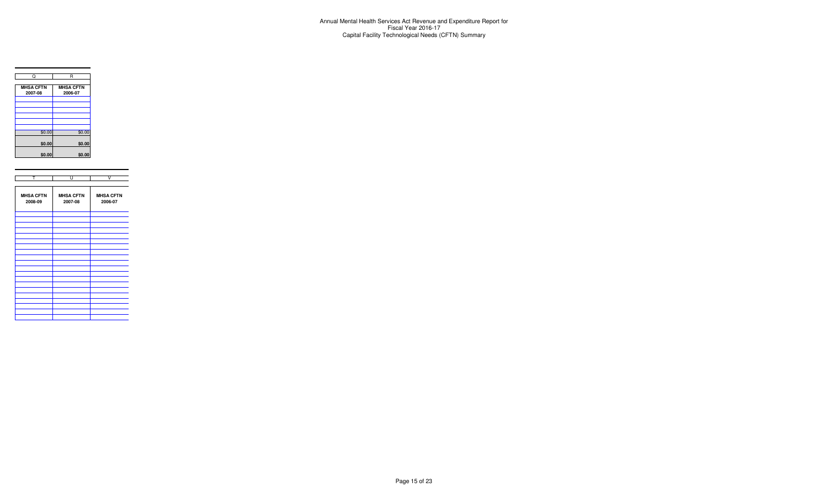

| т                           | U                           | V                           |
|-----------------------------|-----------------------------|-----------------------------|
|                             |                             |                             |
| <b>MHSA CFTN</b><br>2008-09 | <b>MHSA CFTN</b><br>2007-08 | <b>MHSA CFTN</b><br>2006-07 |
|                             |                             |                             |
|                             |                             |                             |
|                             |                             |                             |
|                             |                             |                             |
|                             |                             |                             |
|                             |                             |                             |
|                             |                             |                             |
|                             |                             |                             |
|                             |                             |                             |
|                             |                             |                             |
|                             |                             |                             |
|                             |                             |                             |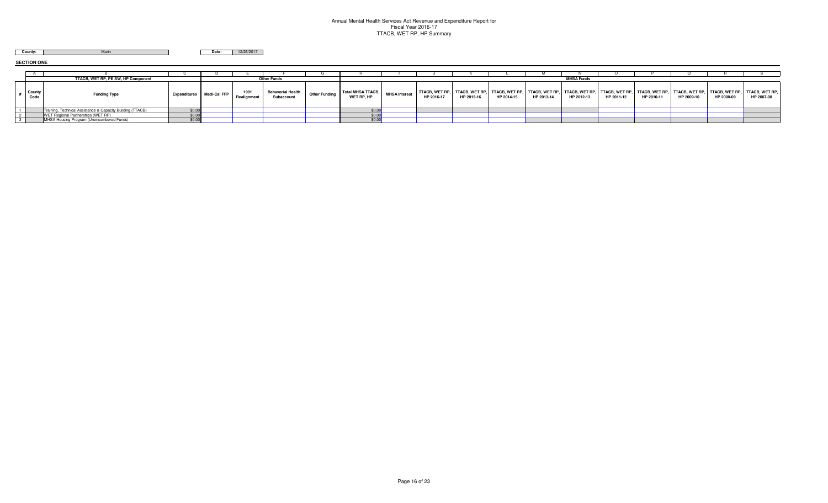### Annual Mental Health Services Act Revenue and Expenditure Report for Fiscal Year 2016-17 TTACB, WET RP, HP Summary

**Marin County:** 

**Date:** 12/26/2017

**SECTION ONE**

|                | TTACB, WET RP, PE SW, HP Component                         |              |              |                     | <b>Other Funds</b>                     |                      |                                        |                      |                                     |                                             |            |                                                                      | <b>MHSA Funds</b> |            |                                     |                                                            |            |            |
|----------------|------------------------------------------------------------|--------------|--------------|---------------------|----------------------------------------|----------------------|----------------------------------------|----------------------|-------------------------------------|---------------------------------------------|------------|----------------------------------------------------------------------|-------------------|------------|-------------------------------------|------------------------------------------------------------|------------|------------|
| County<br>Code | <b>Funding Type</b>                                        | Expenditures | Medi-Cal FFP | 1991<br>Realignment | <b>Behavorial Health</b><br>Subaccount | <b>Other Funding</b> | <b>Total MHSA TTACB,</b><br>WET RP, HP | <b>MHSA Interest</b> | <b>TTACB, WET RP,</b><br>HP 2016-17 | TTACB, WET RP, TTACB, WET RP,<br>HP 2015-16 | HP 2014-15 | .   TTACB, WET RP,   TTACB, WET RP,   TTACB, WET RP,  <br>HP 2013-14 | HP 2012-13        | HP 2011-12 | <b>TTACB, WET RP,</b><br>HP 2010-11 | TTACB, WET RP, TTACB, WET RP, TTACB, WET RP,<br>HP 2009-10 | HP 2008-09 | HP 2007-08 |
|                | Training, Technical Assistance & Capacity Building (TTACB) | \$0.00       |              |                     |                                        |                      |                                        |                      |                                     |                                             |            |                                                                      |                   |            |                                     |                                                            |            |            |
|                | WET Regional Partnerships (WET RP)                         | \$0.00       |              |                     |                                        |                      | ψυ.υι                                  |                      |                                     |                                             |            |                                                                      |                   |            |                                     |                                                            |            |            |
|                | MHSA Housing Program (Unencumbered Funds)                  | \$0.00       |              |                     |                                        |                      | \$0.00                                 |                      |                                     |                                             |            |                                                                      |                   |            |                                     |                                                            |            |            |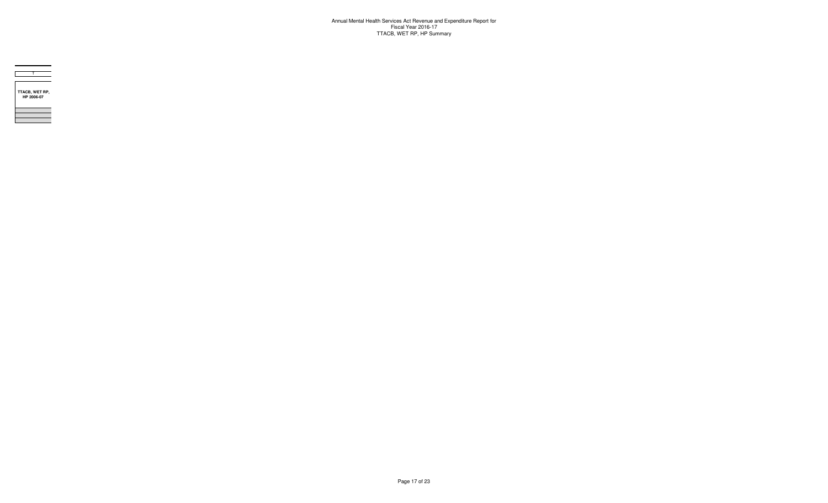Annual Mental Health Services Act Revenue and Expenditure Report for Fiscal Year 2016-17 TTACB, WET RP, HP Summary



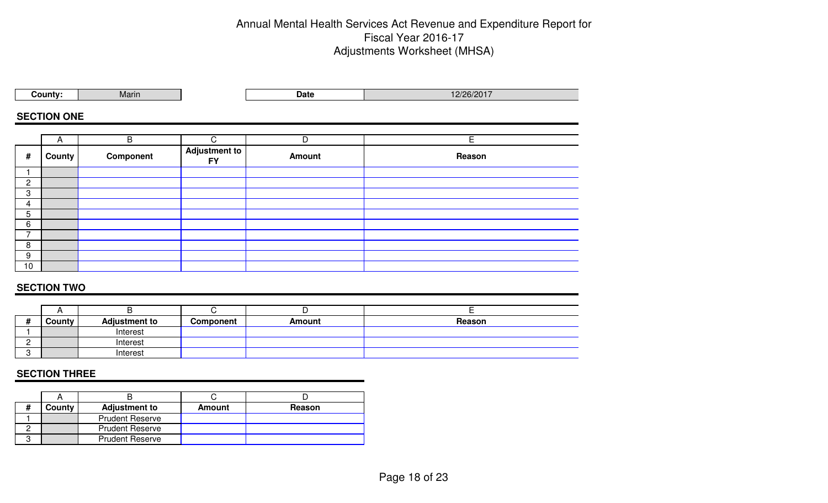# Annual Mental Health Services Act Revenue and Expenditure Report for Fiscal Year 2016-17 Adjustments Worksheet (MHSA)

|                | County:            | Marin       |                                   | <b>Date</b>   | 12/26/2017 |  |  |  |  |  |  |  |
|----------------|--------------------|-------------|-----------------------------------|---------------|------------|--|--|--|--|--|--|--|
|                | <b>SECTION ONE</b> |             |                                   |               |            |  |  |  |  |  |  |  |
|                |                    |             |                                   |               |            |  |  |  |  |  |  |  |
|                | $\mathsf{A}$       | $\mathsf B$ | $\mathsf{C}$                      | D             | E          |  |  |  |  |  |  |  |
| #              | County             | Component   | <b>Adjustment to</b><br><b>FY</b> | <b>Amount</b> | Reason     |  |  |  |  |  |  |  |
|                |                    |             |                                   |               |            |  |  |  |  |  |  |  |
| $\overline{c}$ |                    |             |                                   |               |            |  |  |  |  |  |  |  |
| 3              |                    |             |                                   |               |            |  |  |  |  |  |  |  |
| 4              |                    |             |                                   |               |            |  |  |  |  |  |  |  |
| 5              |                    |             |                                   |               |            |  |  |  |  |  |  |  |
| 6              |                    |             |                                   |               |            |  |  |  |  |  |  |  |
| $\overline{7}$ |                    |             |                                   |               |            |  |  |  |  |  |  |  |
| 8              |                    |             |                                   |               |            |  |  |  |  |  |  |  |
| 9              |                    |             |                                   |               |            |  |  |  |  |  |  |  |
| 10             |                    |             |                                   |               |            |  |  |  |  |  |  |  |

## **SECTION TWO**

|   |               |                      |           | -             |        |
|---|---------------|----------------------|-----------|---------------|--------|
|   | <b>County</b> | <b>Adjustment to</b> | Component | <b>Amount</b> | Reason |
|   |               | Interest             |           |               |        |
| - |               | Interest             |           |               |        |
|   |               | Interest             |           |               |        |

### **SECTION THREE**

| County | <b>Adjustment to</b>   | Amount | Reason |
|--------|------------------------|--------|--------|
|        | <b>Prudent Reserve</b> |        |        |
|        | <b>Prudent Reserve</b> |        |        |
|        | <b>Prudent Reserve</b> |        |        |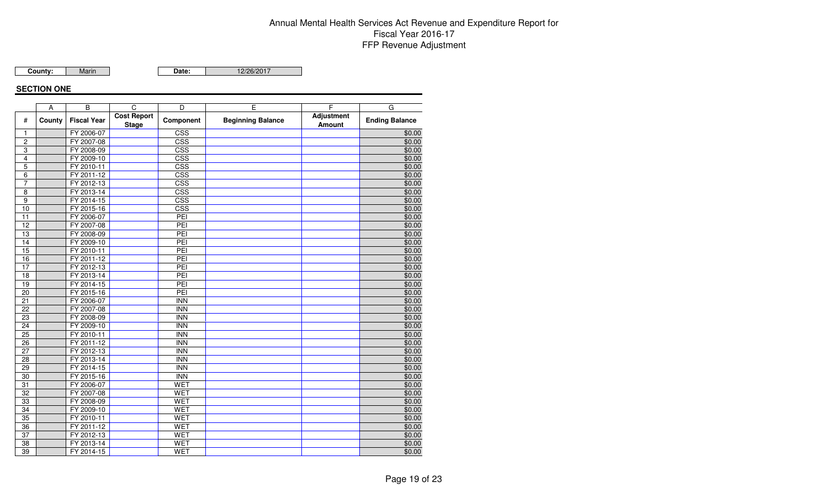# Annual Mental Health Services Act Revenue and Expenditure Report for Fiscal Year 2016-17 FFP Revenue Adjustment

Marin**County:**

**Date:** 12/26/2017

### **SECTION ONE**

|                 | A      | B                  | C                                  | D                       | E                        | F                           | G                     |
|-----------------|--------|--------------------|------------------------------------|-------------------------|--------------------------|-----------------------------|-----------------------|
| #               | County | <b>Fiscal Year</b> | <b>Cost Report</b><br><b>Stage</b> | Component               | <b>Beginning Balance</b> | Adjustment<br><b>Amount</b> | <b>Ending Balance</b> |
| 1               |        | FY 2006-07         |                                    | $\overline{\text{CSS}}$ |                          |                             | \$0.00                |
| $\mathbf 2$     |        | FY 2007-08         |                                    | CSS                     |                          |                             | \$0.00                |
| 3               |        | FY 2008-09         |                                    | CSS                     |                          |                             | \$0.00                |
| $\overline{4}$  |        | FY 2009-10         |                                    | CSS                     |                          |                             | \$0.00                |
| $\overline{5}$  |        | FY 2010-11         |                                    | CSS                     |                          |                             | \$0.00                |
| 6               |        | FY 2011-12         |                                    | CSS                     |                          |                             | \$0.00                |
| $\overline{7}$  |        | FY 2012-13         |                                    | $\overline{\text{CSS}}$ |                          |                             | \$0.00                |
| $\overline{8}$  |        | FY 2013-14         |                                    | CSS                     |                          |                             | \$0.00                |
| 9               |        | FY 2014-15         |                                    | CSS                     |                          |                             | \$0.00                |
| 10              |        | FY 2015-16         |                                    | CSS                     |                          |                             | \$0.00                |
| 11              |        | FY 2006-07         |                                    | PEI                     |                          |                             | \$0.00                |
| 12              |        | FY 2007-08         |                                    | PEI                     |                          |                             | \$0.00                |
| 13              |        | FY 2008-09         |                                    | PEI                     |                          |                             | \$0.00                |
| $\overline{14}$ |        | FY 2009-10         |                                    | PEI                     |                          |                             | \$0.00                |
| 15              |        | FY 2010-11         |                                    | PEI                     |                          |                             | \$0.00                |
| 16              |        | FY 2011-12         |                                    | PEI                     |                          |                             | \$0.00                |
| $\overline{17}$ |        | FY 2012-13         |                                    | PEI                     |                          |                             | \$0.00                |
| $\overline{18}$ |        | FY 2013-14         |                                    | PEI                     |                          |                             | \$0.00                |
| 19              |        | FY 2014-15         |                                    | PEI                     |                          |                             | \$0.00                |
| $\overline{20}$ |        | FY 2015-16         |                                    | PEI                     |                          |                             | \$0.00                |
| 21              |        | FY 2006-07         |                                    | <b>INN</b>              |                          |                             | \$0.00                |
| $\overline{22}$ |        | FY 2007-08         |                                    | <b>INN</b>              |                          |                             | \$0.00                |
| $\overline{23}$ |        | FY 2008-09         |                                    | <b>INN</b>              |                          |                             | \$0.00                |
| 24              |        | FY 2009-10         |                                    | <b>INN</b>              |                          |                             | \$0.00                |
| 25              |        | FY 2010-11         |                                    | $\overline{\text{INN}}$ |                          |                             | \$0.00                |
| $\overline{26}$ |        | FY 2011-12         |                                    | <b>INN</b>              |                          |                             | \$0.00                |
| 27              |        | FY 2012-13         |                                    | <b>INN</b>              |                          |                             | \$0.00                |
| 28              |        | FY 2013-14         |                                    | <b>INN</b>              |                          |                             | \$0.00                |
| 29              |        | FY 2014-15         |                                    | <b>INN</b>              |                          |                             | \$0.00                |
| 30              |        | FY 2015-16         |                                    | <b>INN</b>              |                          |                             | \$0.00                |
| $\overline{31}$ |        | FY 2006-07         |                                    | <b>WET</b>              |                          |                             | \$0.00                |
| 32              |        | FY 2007-08         |                                    | <b>WET</b>              |                          |                             | \$0.00                |
| 33              |        | FY 2008-09         |                                    | <b>WET</b>              |                          |                             | \$0.00                |
| $\overline{34}$ |        | FY 2009-10         |                                    | <b>WET</b>              |                          |                             | \$0.00                |
| $\overline{35}$ |        | FY 2010-11         |                                    | <b>WET</b>              |                          |                             | \$0.00                |
| 36              |        | FY 2011-12         |                                    | <b>WET</b>              |                          |                             | \$0.00                |
| 37              |        | FY 2012-13         |                                    | <b>WET</b>              |                          |                             | \$0.00                |
| 38              |        | FY 2013-14         |                                    | <b>WET</b>              |                          |                             | \$0.00                |
| 39              |        | FY 2014-15         |                                    | WET                     |                          |                             | \$0.00                |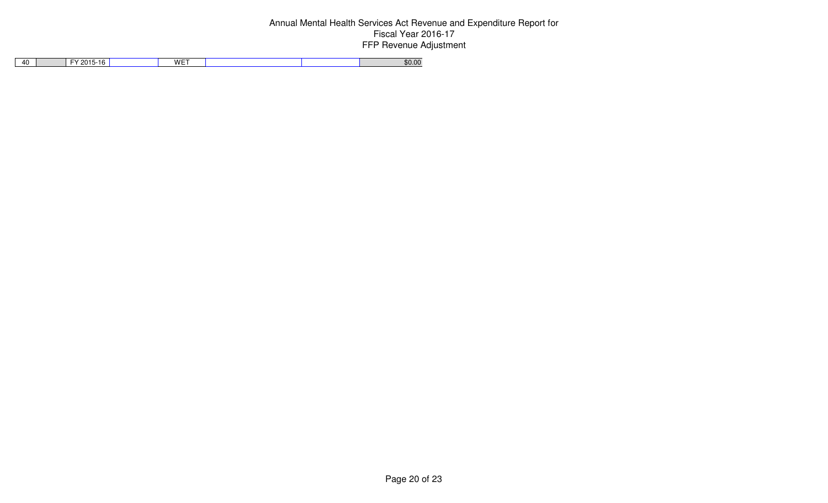# Annual Mental Health Services Act Revenue and Expenditure Report for Fiscal Year 2016-17 FFP Revenue Adjustment

|  | 40 | $2015 -$<br>5-16<br>$\mathbf{v}$ | WET |  | \$0.00 |
|--|----|----------------------------------|-----|--|--------|
|--|----|----------------------------------|-----|--|--------|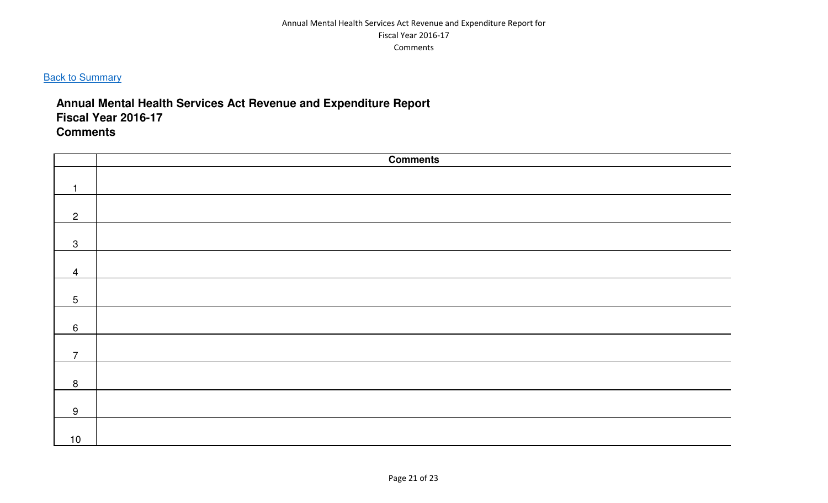### Annual Mental Health Services Act Revenue and Expenditure Report for Fiscal Year 2016-17 Comments

# **Back to Summary**

# **Annual Mental Health Services Act Revenue and Expenditure Report Fiscal Year 2016-17Comments**

|                 | <b>Comments</b> |
|-----------------|-----------------|
|                 |                 |
| ٦               |                 |
|                 |                 |
| $\overline{2}$  |                 |
|                 |                 |
| $\mathbf{3}$    |                 |
|                 |                 |
| $\overline{4}$  |                 |
|                 |                 |
| $5\phantom{.0}$ |                 |
|                 |                 |
| $6\phantom{1}$  |                 |
|                 |                 |
| $\overline{7}$  |                 |
|                 |                 |
| $8\phantom{1}$  |                 |
|                 |                 |
| 9               |                 |
|                 |                 |
| $10$            |                 |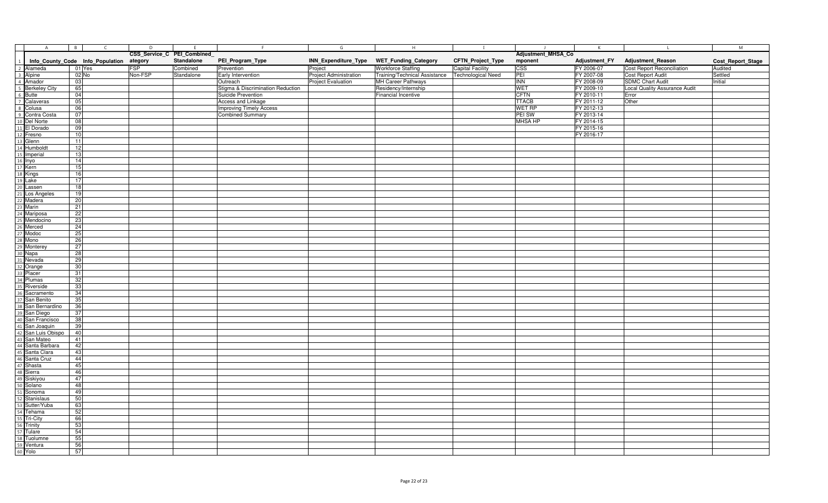| A                                                                                                                                                                                                                                                               | $\overline{B}$<br>$\mathsf{C}$   | $\overline{D}$ | E                           |                                   | G                         | H                             | $\mathbf{I}$              |                         | $\mathsf{K}$  |                                   | M                 |
|-----------------------------------------------------------------------------------------------------------------------------------------------------------------------------------------------------------------------------------------------------------------|----------------------------------|----------------|-----------------------------|-----------------------------------|---------------------------|-------------------------------|---------------------------|-------------------------|---------------|-----------------------------------|-------------------|
|                                                                                                                                                                                                                                                                 |                                  |                | CSS_Service_C PEI_Combined_ |                                   |                           |                               |                           | Adjustment_MHSA_Co      |               |                                   |                   |
| $\overline{1}$                                                                                                                                                                                                                                                  | Info_County_Code Info_Population | ategory        | Standalone                  | PEI_Program_Type                  | INN_Expenditure_Type      | <b>WET_Funding_Category</b>   | CFTN_Project_Type         | mponent                 | Adjustment_FY | <b>Adjustment_Reason</b>          | Cost_Report_Stage |
| 2 Alameda                                                                                                                                                                                                                                                       | 01 Yes                           | <b>FSP</b>     | Combined                    | Prevention                        | Project                   | <b>Workforce Staffing</b>     | <b>Capital Facility</b>   | CSS                     | FY 2006-07    | <b>Cost Report Reconciliation</b> | Audited           |
|                                                                                                                                                                                                                                                                 | 02 No                            | Non-FSP        | Standalone                  | Early Intervention                | Project Administration    | Training/Technical Assistance | <b>Technological Need</b> | PEI                     | FY 2007-08    | Cost Report Audit                 | Settled           |
| 4 Amador                                                                                                                                                                                                                                                        | 03                               |                |                             | Outreach                          | <b>Project Evaluation</b> | MH Career Pathways            |                           | $\overline{\text{INN}}$ | FY 2008-09    | <b>SDMC Chart Audit</b>           | Initial           |
|                                                                                                                                                                                                                                                                 | 65                               |                |                             | Stigma & Discrimination Reduction |                           | Residency/Internship          |                           | WET                     | FY 2009-10    | Local Quality Assurance Audit     |                   |
| 5 Berkeley City<br>6 Butte<br>7 Calaveras                                                                                                                                                                                                                       | 04                               |                |                             | Suicide Prevention                |                           | <b>Financial Incentive</b>    |                           | <b>CFTN</b>             | FY 2010-11    | Error                             |                   |
|                                                                                                                                                                                                                                                                 | 05                               |                |                             | Access and Linkage                |                           |                               |                           | <b>TTACB</b>            | FY 2011-12    | Other                             |                   |
| 8 Colusa                                                                                                                                                                                                                                                        | 06                               |                |                             | <b>Improving Timely Access</b>    |                           |                               |                           | <b>WET RP</b>           | FY 2012-13    |                                   |                   |
|                                                                                                                                                                                                                                                                 | 07                               |                |                             | <b>Combined Summary</b>           |                           |                               |                           | PEI SW                  | FY 2013-14    |                                   |                   |
|                                                                                                                                                                                                                                                                 |                                  |                |                             |                                   |                           |                               |                           |                         |               |                                   |                   |
|                                                                                                                                                                                                                                                                 | 08<br>09                         |                |                             |                                   |                           |                               |                           | <b>MHSA HP</b>          | FY 2014-15    |                                   |                   |
|                                                                                                                                                                                                                                                                 | 10                               |                |                             |                                   |                           |                               |                           |                         | FY 2015-16    |                                   |                   |
|                                                                                                                                                                                                                                                                 |                                  |                |                             |                                   |                           |                               |                           |                         | FY 2016-17    |                                   |                   |
|                                                                                                                                                                                                                                                                 | 11                               |                |                             |                                   |                           |                               |                           |                         |               |                                   |                   |
|                                                                                                                                                                                                                                                                 | 12                               |                |                             |                                   |                           |                               |                           |                         |               |                                   |                   |
|                                                                                                                                                                                                                                                                 | 13                               |                |                             |                                   |                           |                               |                           |                         |               |                                   |                   |
|                                                                                                                                                                                                                                                                 | 14                               |                |                             |                                   |                           |                               |                           |                         |               |                                   |                   |
|                                                                                                                                                                                                                                                                 | 15                               |                |                             |                                   |                           |                               |                           |                         |               |                                   |                   |
|                                                                                                                                                                                                                                                                 | 16                               |                |                             |                                   |                           |                               |                           |                         |               |                                   |                   |
|                                                                                                                                                                                                                                                                 | 17                               |                |                             |                                   |                           |                               |                           |                         |               |                                   |                   |
|                                                                                                                                                                                                                                                                 | 18                               |                |                             |                                   |                           |                               |                           |                         |               |                                   |                   |
|                                                                                                                                                                                                                                                                 | 19                               |                |                             |                                   |                           |                               |                           |                         |               |                                   |                   |
|                                                                                                                                                                                                                                                                 | 20                               |                |                             |                                   |                           |                               |                           |                         |               |                                   |                   |
|                                                                                                                                                                                                                                                                 | 21                               |                |                             |                                   |                           |                               |                           |                         |               |                                   |                   |
|                                                                                                                                                                                                                                                                 | 22                               |                |                             |                                   |                           |                               |                           |                         |               |                                   |                   |
|                                                                                                                                                                                                                                                                 | 23                               |                |                             |                                   |                           |                               |                           |                         |               |                                   |                   |
|                                                                                                                                                                                                                                                                 | 24                               |                |                             |                                   |                           |                               |                           |                         |               |                                   |                   |
|                                                                                                                                                                                                                                                                 | 25                               |                |                             |                                   |                           |                               |                           |                         |               |                                   |                   |
|                                                                                                                                                                                                                                                                 | 26                               |                |                             |                                   |                           |                               |                           |                         |               |                                   |                   |
|                                                                                                                                                                                                                                                                 | 27                               |                |                             |                                   |                           |                               |                           |                         |               |                                   |                   |
|                                                                                                                                                                                                                                                                 | 28                               |                |                             |                                   |                           |                               |                           |                         |               |                                   |                   |
|                                                                                                                                                                                                                                                                 | 29                               |                |                             |                                   |                           |                               |                           |                         |               |                                   |                   |
|                                                                                                                                                                                                                                                                 | 30                               |                |                             |                                   |                           |                               |                           |                         |               |                                   |                   |
|                                                                                                                                                                                                                                                                 | 31                               |                |                             |                                   |                           |                               |                           |                         |               |                                   |                   |
|                                                                                                                                                                                                                                                                 | 32                               |                |                             |                                   |                           |                               |                           |                         |               |                                   |                   |
|                                                                                                                                                                                                                                                                 | 33                               |                |                             |                                   |                           |                               |                           |                         |               |                                   |                   |
|                                                                                                                                                                                                                                                                 | 34                               |                |                             |                                   |                           |                               |                           |                         |               |                                   |                   |
|                                                                                                                                                                                                                                                                 | 35                               |                |                             |                                   |                           |                               |                           |                         |               |                                   |                   |
|                                                                                                                                                                                                                                                                 | 36                               |                |                             |                                   |                           |                               |                           |                         |               |                                   |                   |
|                                                                                                                                                                                                                                                                 | 37                               |                |                             |                                   |                           |                               |                           |                         |               |                                   |                   |
|                                                                                                                                                                                                                                                                 | 38                               |                |                             |                                   |                           |                               |                           |                         |               |                                   |                   |
| The Contractor of Scheme San Berlin 2013<br>19 Contra Costa<br>10 Del Norte<br>11 El Dorado<br>13 Glenn<br>14 Humboldt<br>15 Imperial<br>16 Dityon<br>17 Kern<br>18 Kings<br>19 Lake<br>20 Lassen<br>21 Dis Angeles<br>22 Madera<br>23 Marin<br>24 Mariposa<br> | 39                               |                |                             |                                   |                           |                               |                           |                         |               |                                   |                   |
|                                                                                                                                                                                                                                                                 | 40                               |                |                             |                                   |                           |                               |                           |                         |               |                                   |                   |
|                                                                                                                                                                                                                                                                 | 41                               |                |                             |                                   |                           |                               |                           |                         |               |                                   |                   |
|                                                                                                                                                                                                                                                                 | 42                               |                |                             |                                   |                           |                               |                           |                         |               |                                   |                   |
|                                                                                                                                                                                                                                                                 | 43                               |                |                             |                                   |                           |                               |                           |                         |               |                                   |                   |
|                                                                                                                                                                                                                                                                 | 44                               |                |                             |                                   |                           |                               |                           |                         |               |                                   |                   |
|                                                                                                                                                                                                                                                                 | 45                               |                |                             |                                   |                           |                               |                           |                         |               |                                   |                   |
|                                                                                                                                                                                                                                                                 | 46                               |                |                             |                                   |                           |                               |                           |                         |               |                                   |                   |
|                                                                                                                                                                                                                                                                 | 47                               |                |                             |                                   |                           |                               |                           |                         |               |                                   |                   |
|                                                                                                                                                                                                                                                                 | 48                               |                |                             |                                   |                           |                               |                           |                         |               |                                   |                   |
|                                                                                                                                                                                                                                                                 | 49                               |                |                             |                                   |                           |                               |                           |                         |               |                                   |                   |
|                                                                                                                                                                                                                                                                 | 50                               |                |                             |                                   |                           |                               |                           |                         |               |                                   |                   |
|                                                                                                                                                                                                                                                                 | 63                               |                |                             |                                   |                           |                               |                           |                         |               |                                   |                   |
|                                                                                                                                                                                                                                                                 | 52                               |                |                             |                                   |                           |                               |                           |                         |               |                                   |                   |
|                                                                                                                                                                                                                                                                 | 66                               |                |                             |                                   |                           |                               |                           |                         |               |                                   |                   |
|                                                                                                                                                                                                                                                                 | 53                               |                |                             |                                   |                           |                               |                           |                         |               |                                   |                   |
|                                                                                                                                                                                                                                                                 | 54                               |                |                             |                                   |                           |                               |                           |                         |               |                                   |                   |
|                                                                                                                                                                                                                                                                 | 55                               |                |                             |                                   |                           |                               |                           |                         |               |                                   |                   |
|                                                                                                                                                                                                                                                                 | 56                               |                |                             |                                   |                           |                               |                           |                         |               |                                   |                   |
|                                                                                                                                                                                                                                                                 | 57                               |                |                             |                                   |                           |                               |                           |                         |               |                                   |                   |
|                                                                                                                                                                                                                                                                 |                                  |                |                             |                                   |                           |                               |                           |                         |               |                                   |                   |